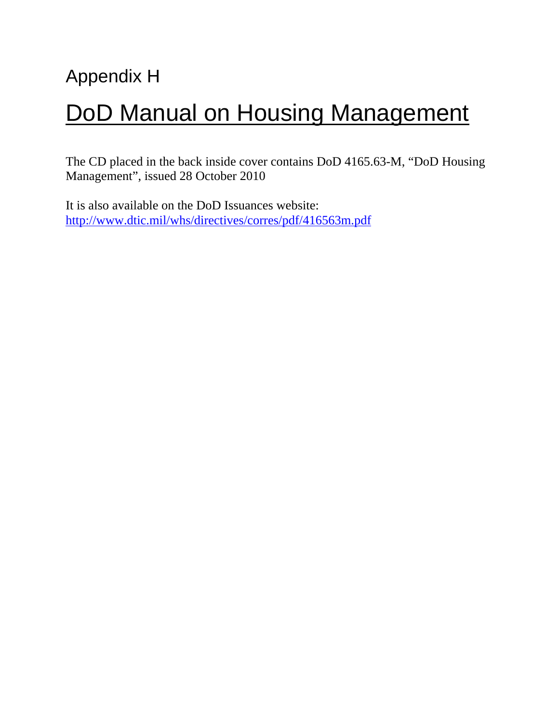# Appendix H DoD Manual on Housing Management

The CD placed in the back inside cover contains DoD 4165.63-M, "DoD Housing Management", issued 28 October 2010

It is also available on the DoD Issuances website: http://www.dtic.mil/whs/directives/corres/pdf/416563m.pdf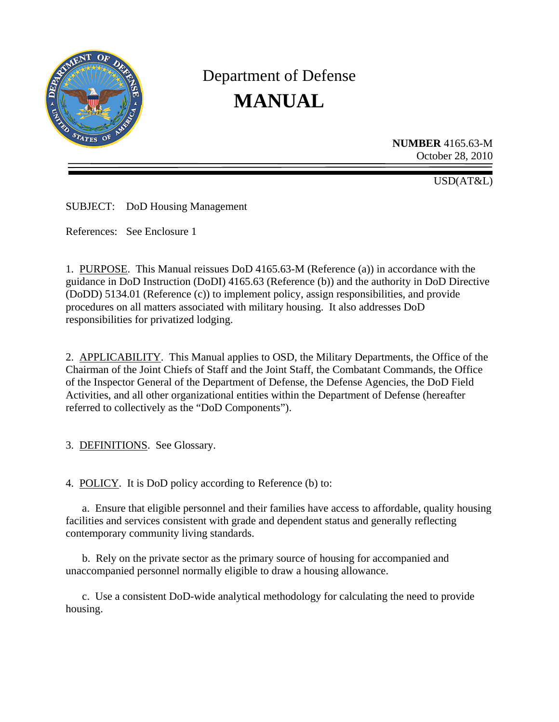

# Department of Defense **MANUAL**

**NUMBER** 4165.63-M October 28, 2010

USD(AT&L)

SUBJECT: DoD Housing Management

References: See Enclosure 1

1. PURPOSE. This Manual reissues DoD 4165.63-M (Reference (a)) in accordance with the guidance in DoD Instruction (DoDI) 4165.63 (Reference (b)) and the authority in DoD Directive (DoDD) 5134.01 (Reference (c)) to implement policy, assign responsibilities, and provide procedures on all matters associated with military housing. It also addresses DoD responsibilities for privatized lodging.

2. APPLICABILITY. This Manual applies to OSD, the Military Departments, the Office of the Chairman of the Joint Chiefs of Staff and the Joint Staff, the Combatant Commands, the Office of the Inspector General of the Department of Defense, the Defense Agencies, the DoD Field Activities, and all other organizational entities within the Department of Defense (hereafter referred to collectively as the "DoD Components").

3. DEFINITIONS. See Glossary.

4. POLICY. It is DoD policy according to Reference (b) to:

 a. Ensure that eligible personnel and their families have access to affordable, quality housing facilities and services consistent with grade and dependent status and generally reflecting contemporary community living standards.

 b. Rely on the private sector as the primary source of housing for accompanied and unaccompanied personnel normally eligible to draw a housing allowance.

 c. Use a consistent DoD-wide analytical methodology for calculating the need to provide housing.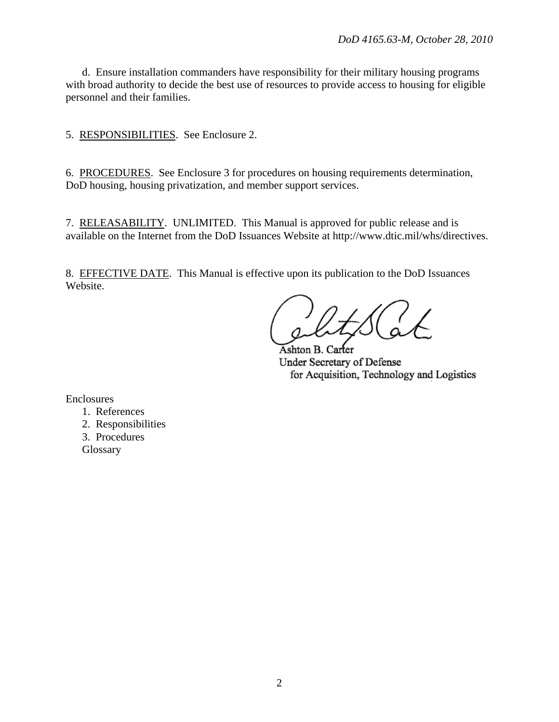d. Ensure installation commanders have responsibility for their military housing programs with broad authority to decide the best use of resources to provide access to housing for eligible personnel and their families.

5. RESPONSIBILITIES. See Enclosure 2.

6. PROCEDURES. See Enclosure 3 for procedures on housing requirements determination, DoD housing, housing privatization, and member support services.

7. RELEASABILITY. UNLIMITED. This Manual is approved for public release and is available on the Internet from the DoD Issuances Website at http://www.dtic.mil/whs/directives.

8. EFFECTIVE DATE. This Manual is effective upon its publication to the DoD Issuances Website.

Ashton B. Carter Under Secretary of Defense for Acquisition, Technology and Logistics

Enclosures

- 1. References
- 2. Responsibilities
- 3. Procedures
- **Glossary**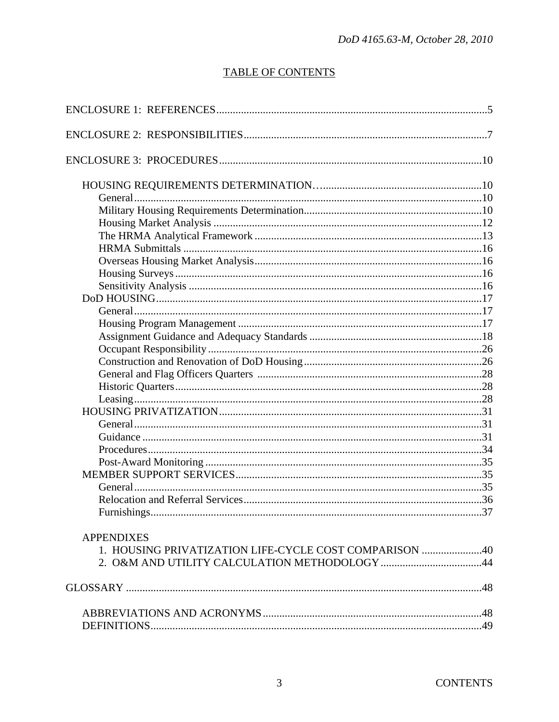# **TABLE OF CONTENTS**

| Furnishings                                            | $\sim$ 37 |
|--------------------------------------------------------|-----------|
| <b>APPENDIXES</b>                                      |           |
| 1. HOUSING PRIVATIZATION LIFE-CYCLE COST COMPARISON 40 |           |
|                                                        |           |
|                                                        |           |
|                                                        |           |
|                                                        |           |
|                                                        |           |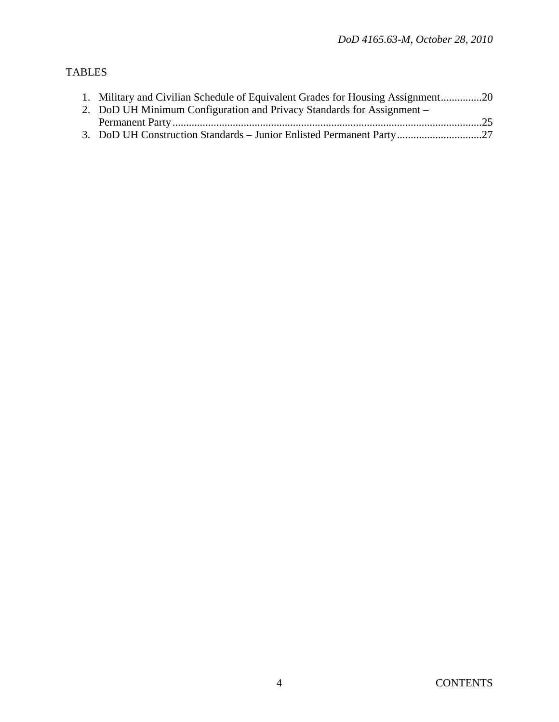# TABLES

| 1. Military and Civilian Schedule of Equivalent Grades for Housing Assignment20 |  |
|---------------------------------------------------------------------------------|--|
| 2. DoD UH Minimum Configuration and Privacy Standards for Assignment –          |  |
|                                                                                 |  |
| 3. DoD UH Construction Standards - Junior Enlisted Permanent Party27            |  |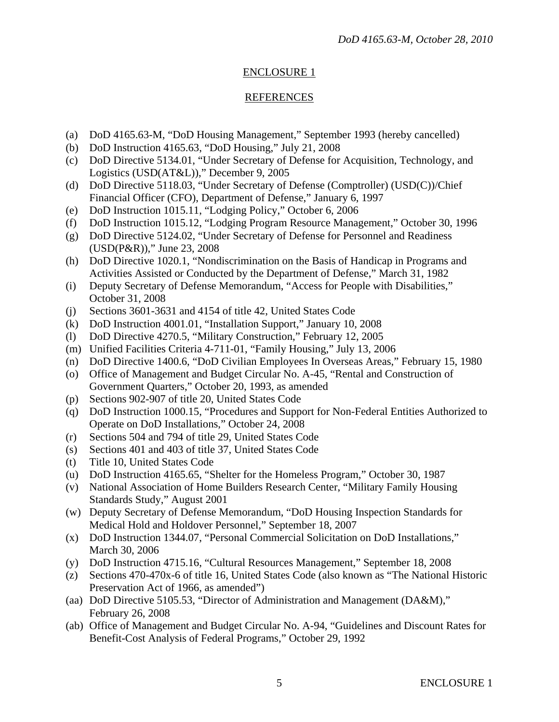# ENCLOSURE 1

# REFERENCES

- (a) DoD 4165.63-M, "DoD Housing Management," September 1993 (hereby cancelled)
- (b) DoD Instruction 4165.63, "DoD Housing," July 21, 2008
- (c) DoD Directive 5134.01, "Under Secretary of Defense for Acquisition, Technology, and Logistics (USD(AT&L))," December 9, 2005
- (d) DoD Directive 5118.03, "Under Secretary of Defense (Comptroller) (USD(C))/Chief Financial Officer (CFO), Department of Defense," January 6, 1997
- (e) DoD Instruction 1015.11, "Lodging Policy," October 6, 2006
- (f) DoD Instruction 1015.12, "Lodging Program Resource Management," October 30, 1996
- (g) DoD Directive 5124.02, "Under Secretary of Defense for Personnel and Readiness (USD(P&R))," June 23, 2008
- (h) DoD Directive 1020.1, "Nondiscrimination on the Basis of Handicap in Programs and Activities Assisted or Conducted by the Department of Defense," March 31, 1982
- (i) Deputy Secretary of Defense Memorandum, "Access for People with Disabilities," October 31, 2008
- (j) Sections 3601-3631 and 4154 of title 42, United States Code
- (k) DoD Instruction 4001.01, "Installation Support," January 10, 2008
- (l) DoD Directive 4270.5, "Military Construction," February 12, 2005
- (m) Unified Facilities Criteria 4-711-01, "Family Housing," July 13, 2006
- (n) DoD Directive 1400.6, "DoD Civilian Employees In Overseas Areas," February 15, 1980
- (o) Office of Management and Budget Circular No. A-45, "Rental and Construction of Government Quarters," October 20, 1993, as amended
- (p) Sections 902-907 of title 20, United States Code
- (q) DoD Instruction 1000.15, "Procedures and Support for Non-Federal Entities Authorized to Operate on DoD Installations," October 24, 2008
- (r) Sections 504 and 794 of title 29, United States Code
- (s) Sections 401 and 403 of title 37, United States Code
- (t) Title 10, United States Code
- (u) DoD Instruction 4165.65, "Shelter for the Homeless Program," October 30, 1987
- (v) National Association of Home Builders Research Center, "Military Family Housing Standards Study," August 2001
- (w) Deputy Secretary of Defense Memorandum, "DoD Housing Inspection Standards for Medical Hold and Holdover Personnel," September 18, 2007
- (x) DoD Instruction 1344.07, "Personal Commercial Solicitation on DoD Installations," March 30, 2006
- (y) DoD Instruction 4715.16, "Cultural Resources Management," September 18, 2008
- (z) Sections 470-470x-6 of title 16, United States Code (also known as "The National Historic Preservation Act of 1966, as amended")
- (aa) DoD Directive 5105.53, "Director of Administration and Management (DA&M)," February 26, 2008
- (ab) Office of Management and Budget Circular No. A-94, "Guidelines and Discount Rates for Benefit-Cost Analysis of Federal Programs," October 29, 1992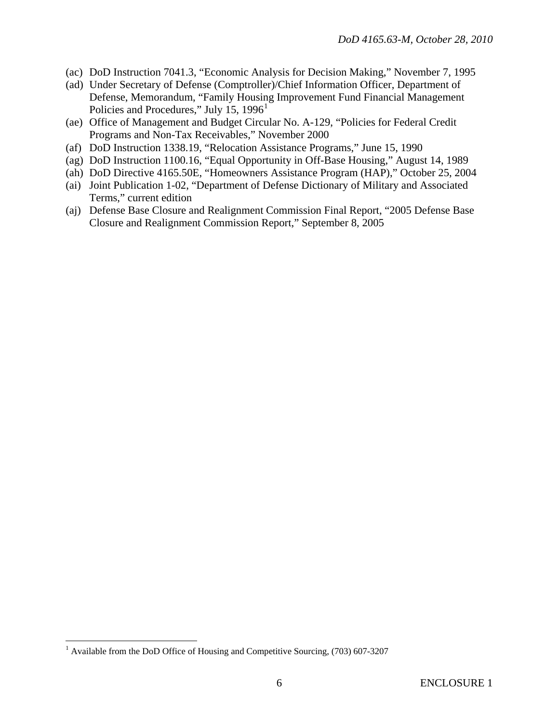- (ac) DoD Instruction 7041.3, "Economic Analysis for Decision Making," November 7, 1995
- (ad) Under Secretary of Defense (Comptroller)/Chief Information Officer, Department of Defense, Memorandum, "Family Housing Improvement Fund Financial Management Policies and Procedures," July [1](#page-6-0)5,  $1996<sup>1</sup>$
- (ae) Office of Management and Budget Circular No. A-129, "Policies for Federal Credit Programs and Non-Tax Receivables," November 2000
- (af) DoD Instruction 1338.19, "Relocation Assistance Programs," June 15, 1990
- (ag) DoD Instruction 1100.16, "Equal Opportunity in Off-Base Housing," August 14, 1989
- (ah) DoD Directive 4165.50E, "Homeowners Assistance Program (HAP)," October 25, 2004
- (ai) Joint Publication 1-02, "Department of Defense Dictionary of Military and Associated Terms," current edition
- (aj) Defense Base Closure and Realignment Commission Final Report, "2005 Defense Base Closure and Realignment Commission Report," September 8, 2005

<span id="page-6-0"></span> 1 Available from the DoD Office of Housing and Competitive Sourcing, (703) 607-3207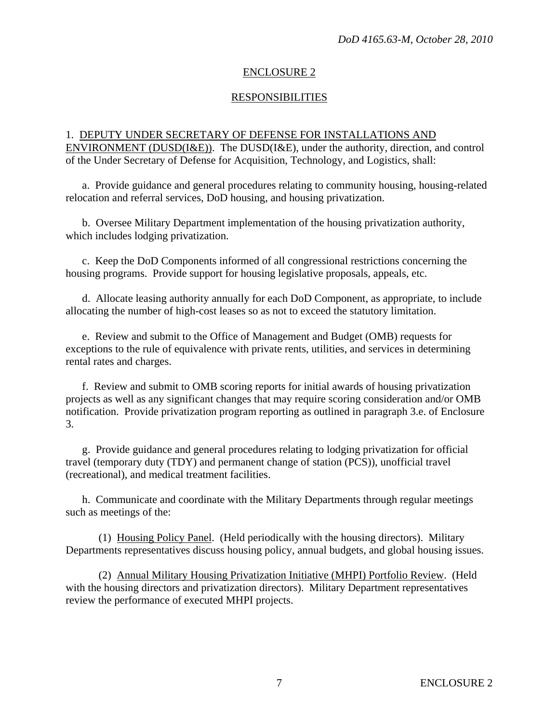# ENCLOSURE 2

# RESPONSIBILITIES

# 1. DEPUTY UNDER SECRETARY OF DEFENSE FOR INSTALLATIONS AND ENVIRONMENT (DUSD(I&E)). The DUSD(I&E), under the authority, direction, and control of the Under Secretary of Defense for Acquisition, Technology, and Logistics, shall:

 a. Provide guidance and general procedures relating to community housing, housing-related relocation and referral services, DoD housing, and housing privatization.

 b. Oversee Military Department implementation of the housing privatization authority, which includes lodging privatization.

 c. Keep the DoD Components informed of all congressional restrictions concerning the housing programs. Provide support for housing legislative proposals, appeals, etc.

 d. Allocate leasing authority annually for each DoD Component, as appropriate, to include allocating the number of high-cost leases so as not to exceed the statutory limitation.

 e. Review and submit to the Office of Management and Budget (OMB) requests for exceptions to the rule of equivalence with private rents, utilities, and services in determining rental rates and charges.

 f. Review and submit to OMB scoring reports for initial awards of housing privatization projects as well as any significant changes that may require scoring consideration and/or OMB notification. Provide privatization program reporting as outlined in paragraph 3.e. of Enclosure 3.

 g. Provide guidance and general procedures relating to lodging privatization for official travel (temporary duty (TDY) and permanent change of station (PCS)), unofficial travel (recreational), and medical treatment facilities.

 h. Communicate and coordinate with the Military Departments through regular meetings such as meetings of the:

 (1) Housing Policy Panel. (Held periodically with the housing directors). Military Departments representatives discuss housing policy, annual budgets, and global housing issues.

 (2) Annual Military Housing Privatization Initiative (MHPI) Portfolio Review. (Held with the housing directors and privatization directors). Military Department representatives review the performance of executed MHPI projects.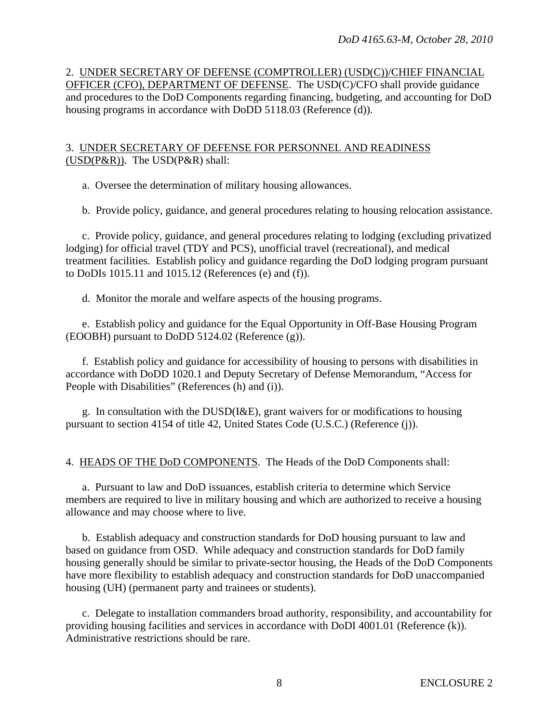2. UNDER SECRETARY OF DEFENSE (COMPTROLLER) (USD(C))/CHIEF FINANCIAL OFFICER (CFO), DEPARTMENT OF DEFENSE. The USD(C)/CFO shall provide guidance and procedures to the DoD Components regarding financing, budgeting, and accounting for DoD housing programs in accordance with DoDD 5118.03 (Reference (d)).

#### 3. UNDER SECRETARY OF DEFENSE FOR PERSONNEL AND READINESS (USD(P&R)). The USD(P&R) shall:

a. Oversee the determination of military housing allowances.

b. Provide policy, guidance, and general procedures relating to housing relocation assistance.

 c. Provide policy, guidance, and general procedures relating to lodging (excluding privatized lodging) for official travel (TDY and PCS), unofficial travel (recreational), and medical treatment facilities. Establish policy and guidance regarding the DoD lodging program pursuant to DoDIs 1015.11 and 1015.12 (References (e) and (f)).

d. Monitor the morale and welfare aspects of the housing programs.

 e. Establish policy and guidance for the Equal Opportunity in Off-Base Housing Program (EOOBH) pursuant to DoDD 5124.02 (Reference (g)).

 f. Establish policy and guidance for accessibility of housing to persons with disabilities in accordance with DoDD 1020.1 and Deputy Secretary of Defense Memorandum, "Access for People with Disabilities" (References (h) and (i)).

 g. In consultation with the DUSD(I&E), grant waivers for or modifications to housing pursuant to section 4154 of title 42, United States Code (U.S.C.) (Reference (j)).

4. HEADS OF THE DoD COMPONENTS. The Heads of the DoD Components shall:

 a. Pursuant to law and DoD issuances, establish criteria to determine which Service members are required to live in military housing and which are authorized to receive a housing allowance and may choose where to live.

 b. Establish adequacy and construction standards for DoD housing pursuant to law and based on guidance from OSD. While adequacy and construction standards for DoD family housing generally should be similar to private-sector housing, the Heads of the DoD Components have more flexibility to establish adequacy and construction standards for DoD unaccompanied housing (UH) (permanent party and trainees or students).

 c. Delegate to installation commanders broad authority, responsibility, and accountability for providing housing facilities and services in accordance with DoDI 4001.01 (Reference (k)). Administrative restrictions should be rare.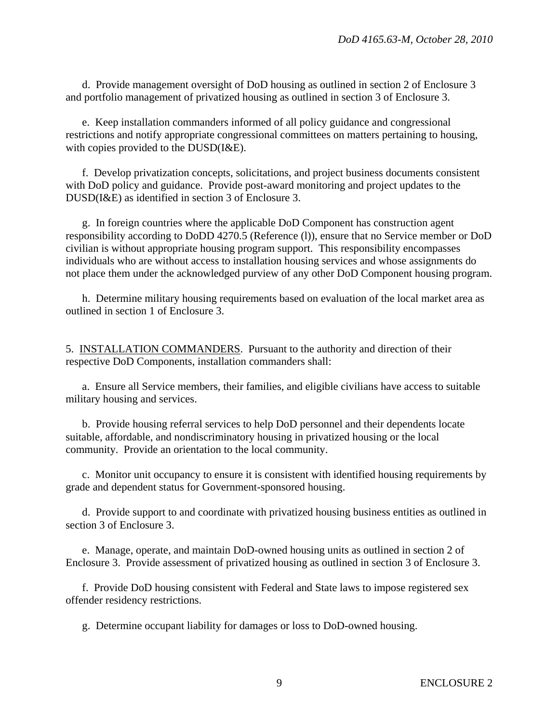d. Provide management oversight of DoD housing as outlined in section 2 of Enclosure 3 and portfolio management of privatized housing as outlined in section 3 of Enclosure 3.

 e. Keep installation commanders informed of all policy guidance and congressional restrictions and notify appropriate congressional committees on matters pertaining to housing, with copies provided to the DUSD(I&E).

 f. Develop privatization concepts, solicitations, and project business documents consistent with DoD policy and guidance. Provide post-award monitoring and project updates to the DUSD(I&E) as identified in section 3 of Enclosure 3.

 g. In foreign countries where the applicable DoD Component has construction agent responsibility according to DoDD 4270.5 (Reference (l)), ensure that no Service member or DoD civilian is without appropriate housing program support. This responsibility encompasses individuals who are without access to installation housing services and whose assignments do not place them under the acknowledged purview of any other DoD Component housing program.

 h. Determine military housing requirements based on evaluation of the local market area as outlined in section 1 of Enclosure 3.

5. INSTALLATION COMMANDERS. Pursuant to the authority and direction of their respective DoD Components, installation commanders shall:

 a. Ensure all Service members, their families, and eligible civilians have access to suitable military housing and services.

 b. Provide housing referral services to help DoD personnel and their dependents locate suitable, affordable, and nondiscriminatory housing in privatized housing or the local community. Provide an orientation to the local community.

 c. Monitor unit occupancy to ensure it is consistent with identified housing requirements by grade and dependent status for Government-sponsored housing.

 d. Provide support to and coordinate with privatized housing business entities as outlined in section 3 of Enclosure 3.

 e. Manage, operate, and maintain DoD-owned housing units as outlined in section 2 of Enclosure 3. Provide assessment of privatized housing as outlined in section 3 of Enclosure 3.

 f. Provide DoD housing consistent with Federal and State laws to impose registered sex offender residency restrictions.

g. Determine occupant liability for damages or loss to DoD-owned housing.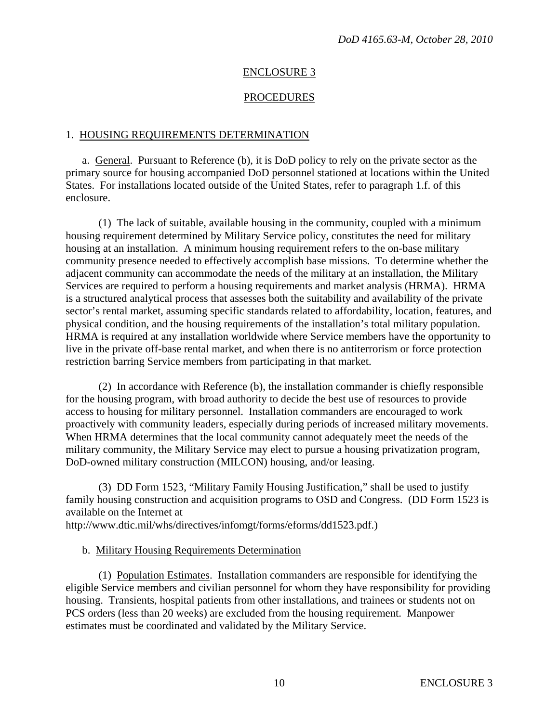#### ENCLOSURE 3

#### PROCEDURES

#### 1. HOUSING REQUIREMENTS DETERMINATION

 a. General. Pursuant to Reference (b), it is DoD policy to rely on the private sector as the primary source for housing accompanied DoD personnel stationed at locations within the United States. For installations located outside of the United States, refer to paragraph 1.f. of this enclosure.

 (1) The lack of suitable, available housing in the community, coupled with a minimum housing requirement determined by Military Service policy, constitutes the need for military housing at an installation. A minimum housing requirement refers to the on-base military community presence needed to effectively accomplish base missions. To determine whether the adjacent community can accommodate the needs of the military at an installation, the Military Services are required to perform a housing requirements and market analysis (HRMA). HRMA is a structured analytical process that assesses both the suitability and availability of the private sector's rental market, assuming specific standards related to affordability, location, features, and physical condition, and the housing requirements of the installation's total military population. HRMA is required at any installation worldwide where Service members have the opportunity to live in the private off-base rental market, and when there is no antiterrorism or force protection restriction barring Service members from participating in that market.

 (2) In accordance with Reference (b), the installation commander is chiefly responsible for the housing program, with broad authority to decide the best use of resources to provide access to housing for military personnel. Installation commanders are encouraged to work proactively with community leaders, especially during periods of increased military movements. When HRMA determines that the local community cannot adequately meet the needs of the military community, the Military Service may elect to pursue a housing privatization program, DoD-owned military construction (MILCON) housing, and/or leasing.

 (3) DD Form 1523, "Military Family Housing Justification," shall be used to justify family housing construction and acquisition programs to OSD and Congress. (DD Form 1523 is available on the Internet at

http://www.dtic.mil/whs/directives/infomgt/forms/eforms/dd1523.pdf.)

#### b. Military Housing Requirements Determination

 (1) Population Estimates. Installation commanders are responsible for identifying the eligible Service members and civilian personnel for whom they have responsibility for providing housing. Transients, hospital patients from other installations, and trainees or students not on PCS orders (less than 20 weeks) are excluded from the housing requirement. Manpower estimates must be coordinated and validated by the Military Service.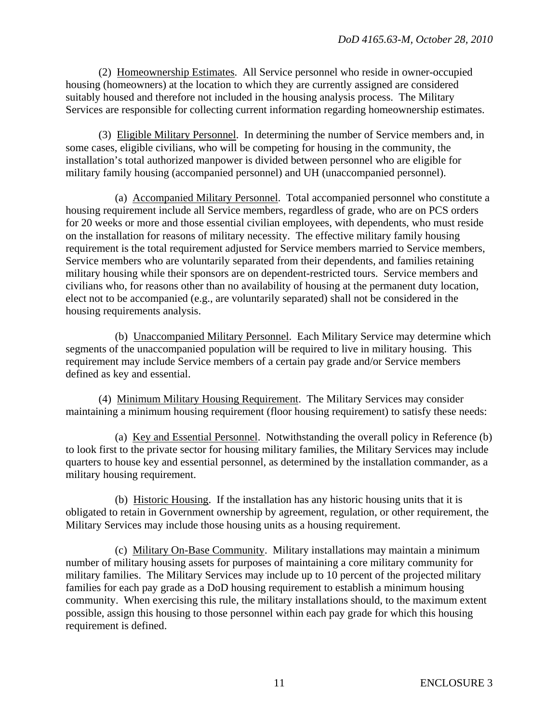(2) Homeownership Estimates. All Service personnel who reside in owner-occupied housing (homeowners) at the location to which they are currently assigned are considered suitably housed and therefore not included in the housing analysis process. The Military Services are responsible for collecting current information regarding homeownership estimates.

 (3) Eligible Military Personnel. In determining the number of Service members and, in some cases, eligible civilians, who will be competing for housing in the community, the installation's total authorized manpower is divided between personnel who are eligible for military family housing (accompanied personnel) and UH (unaccompanied personnel).

 (a) Accompanied Military Personnel. Total accompanied personnel who constitute a housing requirement include all Service members, regardless of grade, who are on PCS orders for 20 weeks or more and those essential civilian employees, with dependents, who must reside on the installation for reasons of military necessity. The effective military family housing requirement is the total requirement adjusted for Service members married to Service members, Service members who are voluntarily separated from their dependents, and families retaining military housing while their sponsors are on dependent-restricted tours. Service members and civilians who, for reasons other than no availability of housing at the permanent duty location, elect not to be accompanied (e.g., are voluntarily separated) shall not be considered in the housing requirements analysis.

 (b) Unaccompanied Military Personnel. Each Military Service may determine which segments of the unaccompanied population will be required to live in military housing. This requirement may include Service members of a certain pay grade and/or Service members defined as key and essential.

 (4) Minimum Military Housing Requirement. The Military Services may consider maintaining a minimum housing requirement (floor housing requirement) to satisfy these needs:

 (a) Key and Essential Personnel. Notwithstanding the overall policy in Reference (b) to look first to the private sector for housing military families, the Military Services may include quarters to house key and essential personnel, as determined by the installation commander, as a military housing requirement.

 (b) Historic Housing. If the installation has any historic housing units that it is obligated to retain in Government ownership by agreement, regulation, or other requirement, the Military Services may include those housing units as a housing requirement.

 (c) Military On-Base Community. Military installations may maintain a minimum number of military housing assets for purposes of maintaining a core military community for military families. The Military Services may include up to 10 percent of the projected military families for each pay grade as a DoD housing requirement to establish a minimum housing community. When exercising this rule, the military installations should, to the maximum extent possible, assign this housing to those personnel within each pay grade for which this housing requirement is defined.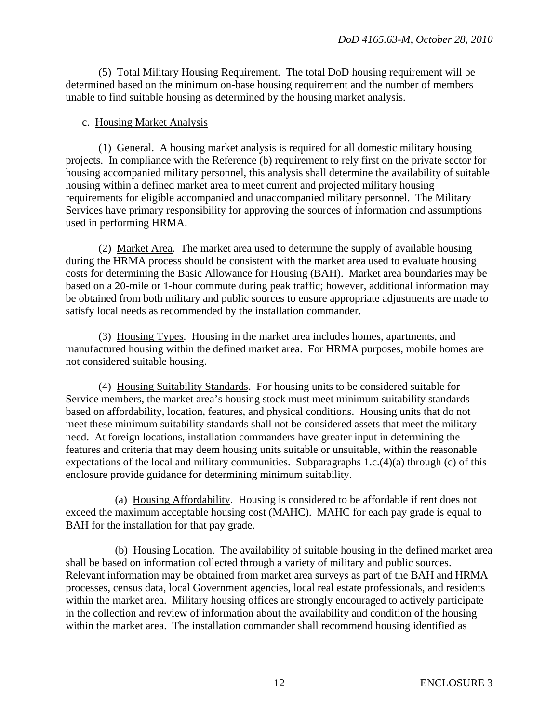(5) Total Military Housing Requirement. The total DoD housing requirement will be determined based on the minimum on-base housing requirement and the number of members unable to find suitable housing as determined by the housing market analysis.

#### c. Housing Market Analysis

 (1) General. A housing market analysis is required for all domestic military housing projects. In compliance with the Reference (b) requirement to rely first on the private sector for housing accompanied military personnel, this analysis shall determine the availability of suitable housing within a defined market area to meet current and projected military housing requirements for eligible accompanied and unaccompanied military personnel. The Military Services have primary responsibility for approving the sources of information and assumptions used in performing HRMA.

 (2) Market Area. The market area used to determine the supply of available housing during the HRMA process should be consistent with the market area used to evaluate housing costs for determining the Basic Allowance for Housing (BAH). Market area boundaries may be based on a 20-mile or 1-hour commute during peak traffic; however, additional information may be obtained from both military and public sources to ensure appropriate adjustments are made to satisfy local needs as recommended by the installation commander.

 (3) Housing Types. Housing in the market area includes homes, apartments, and manufactured housing within the defined market area. For HRMA purposes, mobile homes are not considered suitable housing.

 (4) Housing Suitability Standards. For housing units to be considered suitable for Service members, the market area's housing stock must meet minimum suitability standards based on affordability, location, features, and physical conditions. Housing units that do not meet these minimum suitability standards shall not be considered assets that meet the military need. At foreign locations, installation commanders have greater input in determining the features and criteria that may deem housing units suitable or unsuitable, within the reasonable expectations of the local and military communities. Subparagraphs 1.c.(4)(a) through (c) of this enclosure provide guidance for determining minimum suitability.

 (a) Housing Affordability. Housing is considered to be affordable if rent does not exceed the maximum acceptable housing cost (MAHC). MAHC for each pay grade is equal to BAH for the installation for that pay grade.

 (b) Housing Location. The availability of suitable housing in the defined market area shall be based on information collected through a variety of military and public sources. Relevant information may be obtained from market area surveys as part of the BAH and HRMA processes, census data, local Government agencies, local real estate professionals, and residents within the market area. Military housing offices are strongly encouraged to actively participate in the collection and review of information about the availability and condition of the housing within the market area. The installation commander shall recommend housing identified as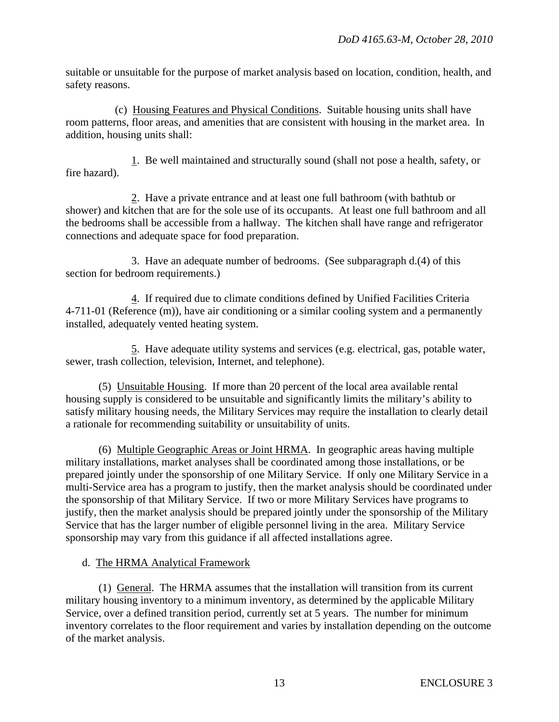suitable or unsuitable for the purpose of market analysis based on location, condition, health, and safety reasons.

 (c) Housing Features and Physical Conditions. Suitable housing units shall have room patterns, floor areas, and amenities that are consistent with housing in the market area. In addition, housing units shall:

 1. Be well maintained and structurally sound (shall not pose a health, safety, or fire hazard).

 2. Have a private entrance and at least one full bathroom (with bathtub or shower) and kitchen that are for the sole use of its occupants. At least one full bathroom and all the bedrooms shall be accessible from a hallway. The kitchen shall have range and refrigerator connections and adequate space for food preparation.

 3. Have an adequate number of bedrooms. (See subparagraph d.(4) of this section for bedroom requirements.)

 4. If required due to climate conditions defined by Unified Facilities Criteria 4-711-01 (Reference (m)), have air conditioning or a similar cooling system and a permanently installed, adequately vented heating system.

 5. Have adequate utility systems and services (e.g. electrical, gas, potable water, sewer, trash collection, television, Internet, and telephone).

 (5) Unsuitable Housing. If more than 20 percent of the local area available rental housing supply is considered to be unsuitable and significantly limits the military's ability to satisfy military housing needs, the Military Services may require the installation to clearly detail a rationale for recommending suitability or unsuitability of units.

 (6) Multiple Geographic Areas or Joint HRMA. In geographic areas having multiple military installations, market analyses shall be coordinated among those installations, or be prepared jointly under the sponsorship of one Military Service. If only one Military Service in a multi-Service area has a program to justify, then the market analysis should be coordinated under the sponsorship of that Military Service. If two or more Military Services have programs to justify, then the market analysis should be prepared jointly under the sponsorship of the Military Service that has the larger number of eligible personnel living in the area. Military Service sponsorship may vary from this guidance if all affected installations agree.

# d. The HRMA Analytical Framework

 (1) General. The HRMA assumes that the installation will transition from its current military housing inventory to a minimum inventory, as determined by the applicable Military Service, over a defined transition period, currently set at 5 years. The number for minimum inventory correlates to the floor requirement and varies by installation depending on the outcome of the market analysis.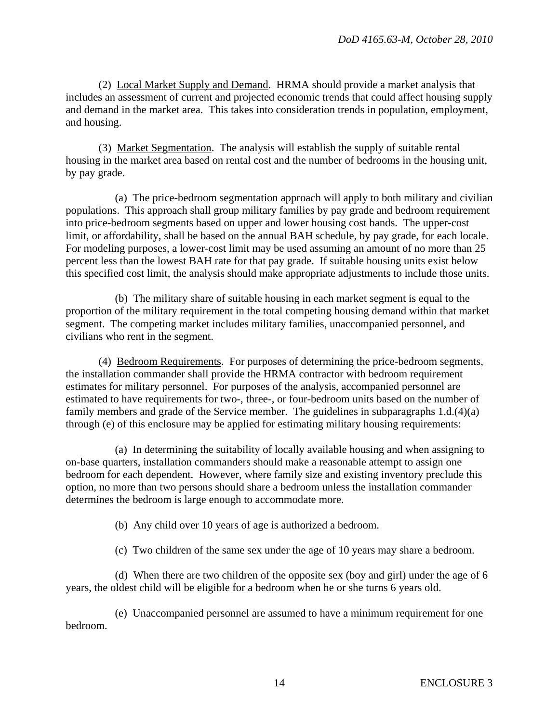(2) Local Market Supply and Demand. HRMA should provide a market analysis that includes an assessment of current and projected economic trends that could affect housing supply and demand in the market area. This takes into consideration trends in population, employment, and housing.

 (3) Market Segmentation. The analysis will establish the supply of suitable rental housing in the market area based on rental cost and the number of bedrooms in the housing unit, by pay grade.

 (a) The price-bedroom segmentation approach will apply to both military and civilian populations. This approach shall group military families by pay grade and bedroom requirement into price-bedroom segments based on upper and lower housing cost bands. The upper-cost limit, or affordability, shall be based on the annual BAH schedule, by pay grade, for each locale. For modeling purposes, a lower-cost limit may be used assuming an amount of no more than 25 percent less than the lowest BAH rate for that pay grade. If suitable housing units exist below this specified cost limit, the analysis should make appropriate adjustments to include those units.

 (b) The military share of suitable housing in each market segment is equal to the proportion of the military requirement in the total competing housing demand within that market segment. The competing market includes military families, unaccompanied personnel, and civilians who rent in the segment.

 (4) Bedroom Requirements. For purposes of determining the price-bedroom segments, the installation commander shall provide the HRMA contractor with bedroom requirement estimates for military personnel. For purposes of the analysis, accompanied personnel are estimated to have requirements for two-, three-, or four-bedroom units based on the number of family members and grade of the Service member. The guidelines in subparagraphs 1.d.(4)(a) through (e) of this enclosure may be applied for estimating military housing requirements:

 (a) In determining the suitability of locally available housing and when assigning to on-base quarters, installation commanders should make a reasonable attempt to assign one bedroom for each dependent. However, where family size and existing inventory preclude this option, no more than two persons should share a bedroom unless the installation commander determines the bedroom is large enough to accommodate more.

(b) Any child over 10 years of age is authorized a bedroom.

(c) Two children of the same sex under the age of 10 years may share a bedroom.

 (d) When there are two children of the opposite sex (boy and girl) under the age of 6 years, the oldest child will be eligible for a bedroom when he or she turns 6 years old.

 (e) Unaccompanied personnel are assumed to have a minimum requirement for one bedroom.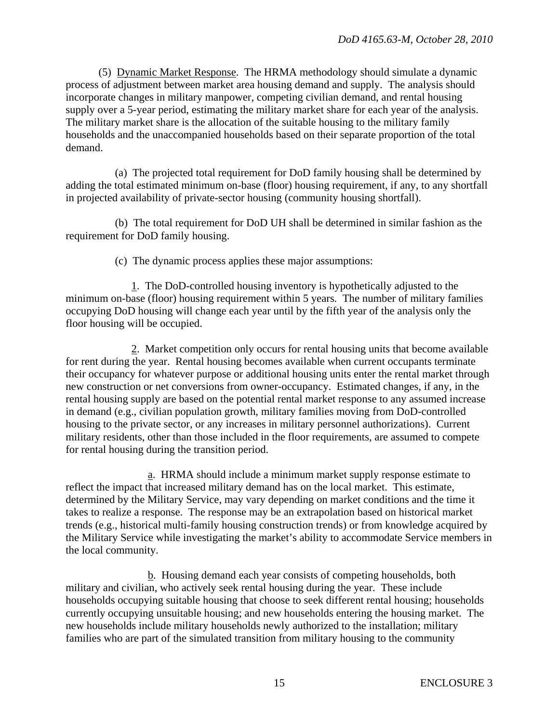(5) Dynamic Market Response. The HRMA methodology should simulate a dynamic process of adjustment between market area housing demand and supply. The analysis should incorporate changes in military manpower, competing civilian demand, and rental housing supply over a 5-year period, estimating the military market share for each year of the analysis. The military market share is the allocation of the suitable housing to the military family households and the unaccompanied households based on their separate proportion of the total demand.

 (a) The projected total requirement for DoD family housing shall be determined by adding the total estimated minimum on-base (floor) housing requirement, if any, to any shortfall in projected availability of private-sector housing (community housing shortfall).

 (b) The total requirement for DoD UH shall be determined in similar fashion as the requirement for DoD family housing.

(c) The dynamic process applies these major assumptions:

 1. The DoD-controlled housing inventory is hypothetically adjusted to the minimum on-base (floor) housing requirement within 5 years. The number of military families occupying DoD housing will change each year until by the fifth year of the analysis only the floor housing will be occupied.

 2. Market competition only occurs for rental housing units that become available for rent during the year. Rental housing becomes available when current occupants terminate their occupancy for whatever purpose or additional housing units enter the rental market through new construction or net conversions from owner-occupancy. Estimated changes, if any, in the rental housing supply are based on the potential rental market response to any assumed increase in demand (e.g., civilian population growth, military families moving from DoD-controlled housing to the private sector, or any increases in military personnel authorizations). Current military residents, other than those included in the floor requirements, are assumed to compete for rental housing during the transition period.

 a. HRMA should include a minimum market supply response estimate to reflect the impact that increased military demand has on the local market. This estimate, determined by the Military Service, may vary depending on market conditions and the time it takes to realize a response. The response may be an extrapolation based on historical market trends (e.g., historical multi-family housing construction trends) or from knowledge acquired by the Military Service while investigating the market's ability to accommodate Service members in the local community.

 b. Housing demand each year consists of competing households, both military and civilian, who actively seek rental housing during the year. These include households occupying suitable housing that choose to seek different rental housing; households currently occupying unsuitable housing; and new households entering the housing market. The new households include military households newly authorized to the installation; military families who are part of the simulated transition from military housing to the community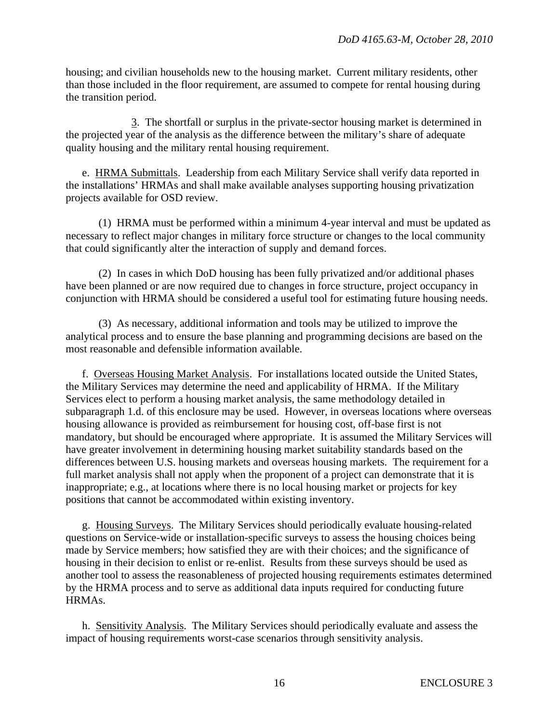housing; and civilian households new to the housing market. Current military residents, other than those included in the floor requirement, are assumed to compete for rental housing during the transition period.

 3. The shortfall or surplus in the private-sector housing market is determined in the projected year of the analysis as the difference between the military's share of adequate quality housing and the military rental housing requirement.

 e. HRMA Submittals. Leadership from each Military Service shall verify data reported in the installations' HRMAs and shall make available analyses supporting housing privatization projects available for OSD review.

 (1) HRMA must be performed within a minimum 4-year interval and must be updated as necessary to reflect major changes in military force structure or changes to the local community that could significantly alter the interaction of supply and demand forces.

 (2) In cases in which DoD housing has been fully privatized and/or additional phases have been planned or are now required due to changes in force structure, project occupancy in conjunction with HRMA should be considered a useful tool for estimating future housing needs.

 (3) As necessary, additional information and tools may be utilized to improve the analytical process and to ensure the base planning and programming decisions are based on the most reasonable and defensible information available.

 f. Overseas Housing Market Analysis. For installations located outside the United States, the Military Services may determine the need and applicability of HRMA. If the Military Services elect to perform a housing market analysis, the same methodology detailed in subparagraph 1.d. of this enclosure may be used. However, in overseas locations where overseas housing allowance is provided as reimbursement for housing cost, off-base first is not mandatory, but should be encouraged where appropriate. It is assumed the Military Services will have greater involvement in determining housing market suitability standards based on the differences between U.S. housing markets and overseas housing markets. The requirement for a full market analysis shall not apply when the proponent of a project can demonstrate that it is inappropriate; e.g., at locations where there is no local housing market or projects for key positions that cannot be accommodated within existing inventory.

 g. Housing Surveys. The Military Services should periodically evaluate housing-related questions on Service-wide or installation-specific surveys to assess the housing choices being made by Service members; how satisfied they are with their choices; and the significance of housing in their decision to enlist or re-enlist. Results from these surveys should be used as another tool to assess the reasonableness of projected housing requirements estimates determined by the HRMA process and to serve as additional data inputs required for conducting future HRMAs.

 h. Sensitivity Analysis. The Military Services should periodically evaluate and assess the impact of housing requirements worst-case scenarios through sensitivity analysis.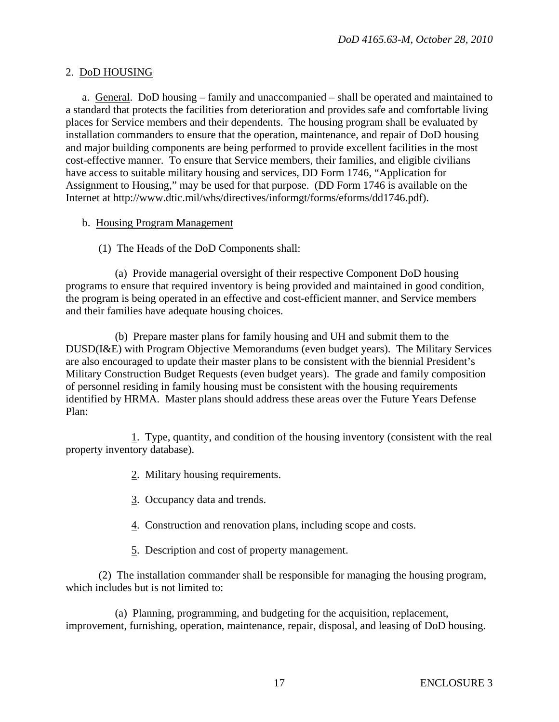#### 2. DoD HOUSING

 a. General. DoD housing – family and unaccompanied – shall be operated and maintained to a standard that protects the facilities from deterioration and provides safe and comfortable living places for Service members and their dependents. The housing program shall be evaluated by installation commanders to ensure that the operation, maintenance, and repair of DoD housing and major building components are being performed to provide excellent facilities in the most cost-effective manner. To ensure that Service members, their families, and eligible civilians have access to suitable military housing and services, DD Form 1746, "Application for Assignment to Housing," may be used for that purpose. (DD Form 1746 is available on the Internet at http://www.dtic.mil/whs/directives/informgt/forms/eforms/dd1746.pdf).

#### b. Housing Program Management

(1) The Heads of the DoD Components shall:

 (a) Provide managerial oversight of their respective Component DoD housing programs to ensure that required inventory is being provided and maintained in good condition, the program is being operated in an effective and cost-efficient manner, and Service members and their families have adequate housing choices.

 (b) Prepare master plans for family housing and UH and submit them to the DUSD(I&E) with Program Objective Memorandums (even budget years). The Military Services are also encouraged to update their master plans to be consistent with the biennial President's Military Construction Budget Requests (even budget years). The grade and family composition of personnel residing in family housing must be consistent with the housing requirements identified by HRMA. Master plans should address these areas over the Future Years Defense Plan:

 1. Type, quantity, and condition of the housing inventory (consistent with the real property inventory database).

- 2. Military housing requirements.
- 3. Occupancy data and trends.
- 4. Construction and renovation plans, including scope and costs.
- 5. Description and cost of property management.

 (2) The installation commander shall be responsible for managing the housing program, which includes but is not limited to:

 (a) Planning, programming, and budgeting for the acquisition, replacement, improvement, furnishing, operation, maintenance, repair, disposal, and leasing of DoD housing.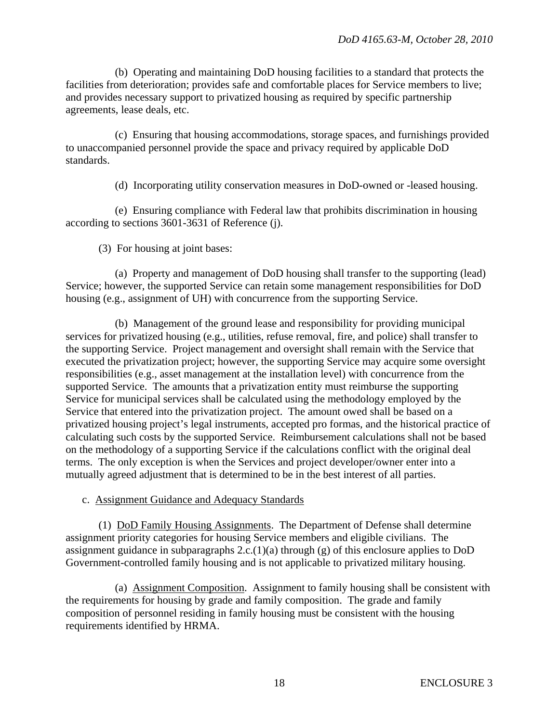(b) Operating and maintaining DoD housing facilities to a standard that protects the facilities from deterioration; provides safe and comfortable places for Service members to live; and provides necessary support to privatized housing as required by specific partnership agreements, lease deals, etc.

 (c) Ensuring that housing accommodations, storage spaces, and furnishings provided to unaccompanied personnel provide the space and privacy required by applicable DoD standards.

(d) Incorporating utility conservation measures in DoD-owned or -leased housing.

 (e) Ensuring compliance with Federal law that prohibits discrimination in housing according to sections 3601-3631 of Reference (j).

(3) For housing at joint bases:

 (a) Property and management of DoD housing shall transfer to the supporting (lead) Service; however, the supported Service can retain some management responsibilities for DoD housing (e.g., assignment of UH) with concurrence from the supporting Service.

 (b) Management of the ground lease and responsibility for providing municipal services for privatized housing (e.g., utilities, refuse removal, fire, and police) shall transfer to the supporting Service. Project management and oversight shall remain with the Service that executed the privatization project; however, the supporting Service may acquire some oversight responsibilities (e.g., asset management at the installation level) with concurrence from the supported Service. The amounts that a privatization entity must reimburse the supporting Service for municipal services shall be calculated using the methodology employed by the Service that entered into the privatization project. The amount owed shall be based on a privatized housing project's legal instruments, accepted pro formas, and the historical practice of calculating such costs by the supported Service. Reimbursement calculations shall not be based on the methodology of a supporting Service if the calculations conflict with the original deal terms. The only exception is when the Services and project developer/owner enter into a mutually agreed adjustment that is determined to be in the best interest of all parties.

# c. Assignment Guidance and Adequacy Standards

 (1) DoD Family Housing Assignments. The Department of Defense shall determine assignment priority categories for housing Service members and eligible civilians. The assignment guidance in subparagraphs  $2.c.(1)(a)$  through  $(g)$  of this enclosure applies to DoD Government-controlled family housing and is not applicable to privatized military housing.

 (a) Assignment Composition. Assignment to family housing shall be consistent with the requirements for housing by grade and family composition. The grade and family composition of personnel residing in family housing must be consistent with the housing requirements identified by HRMA.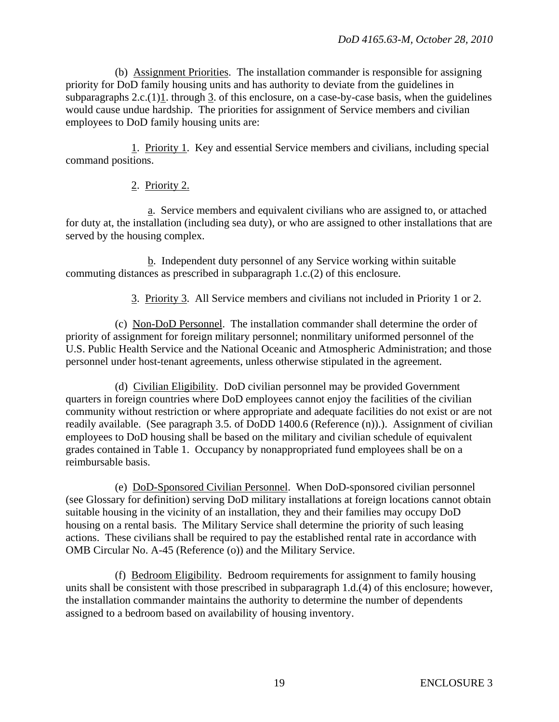(b) Assignment Priorities. The installation commander is responsible for assigning priority for DoD family housing units and has authority to deviate from the guidelines in subparagraphs  $2.c.(1)1$ . through 3. of this enclosure, on a case-by-case basis, when the guidelines would cause undue hardship. The priorities for assignment of Service members and civilian employees to DoD family housing units are:

 1. Priority 1. Key and essential Service members and civilians, including special command positions.

# 2. Priority 2.

 a. Service members and equivalent civilians who are assigned to, or attached for duty at, the installation (including sea duty), or who are assigned to other installations that are served by the housing complex.

 b. Independent duty personnel of any Service working within suitable commuting distances as prescribed in subparagraph 1.c.(2) of this enclosure.

3. Priority 3. All Service members and civilians not included in Priority 1 or 2.

 (c) Non-DoD Personnel. The installation commander shall determine the order of priority of assignment for foreign military personnel; nonmilitary uniformed personnel of the U.S. Public Health Service and the National Oceanic and Atmospheric Administration; and those personnel under host-tenant agreements, unless otherwise stipulated in the agreement.

 (d) Civilian Eligibility. DoD civilian personnel may be provided Government quarters in foreign countries where DoD employees cannot enjoy the facilities of the civilian community without restriction or where appropriate and adequate facilities do not exist or are not readily available. (See paragraph 3.5. of DoDD 1400.6 (Reference (n)).). Assignment of civilian employees to DoD housing shall be based on the military and civilian schedule of equivalent grades contained in Table 1. Occupancy by nonappropriated fund employees shall be on a reimbursable basis.

 (e) DoD-Sponsored Civilian Personnel. When DoD-sponsored civilian personnel (see Glossary for definition) serving DoD military installations at foreign locations cannot obtain suitable housing in the vicinity of an installation, they and their families may occupy DoD housing on a rental basis. The Military Service shall determine the priority of such leasing actions. These civilians shall be required to pay the established rental rate in accordance with OMB Circular No. A-45 (Reference (o)) and the Military Service.

 (f) Bedroom Eligibility. Bedroom requirements for assignment to family housing units shall be consistent with those prescribed in subparagraph 1.d.(4) of this enclosure; however, the installation commander maintains the authority to determine the number of dependents assigned to a bedroom based on availability of housing inventory.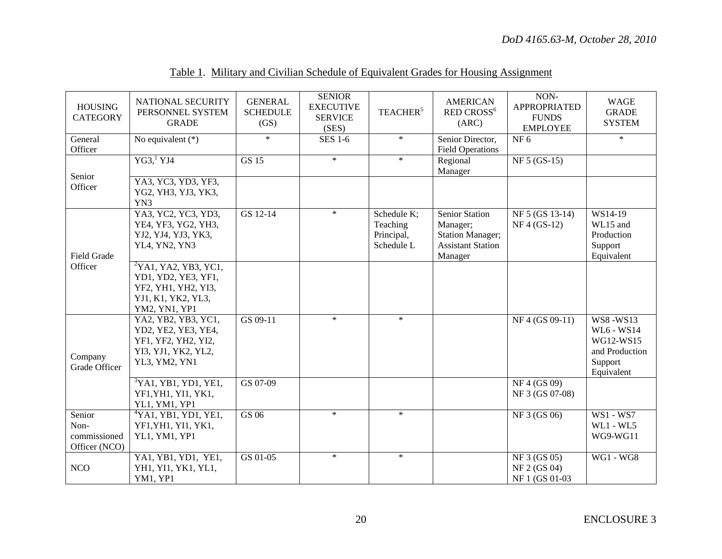| <b>HOUSING</b><br><b>CATEGORY</b>               | NATIONAL SECURITY<br>PERSONNEL SYSTEM<br><b>GRADE</b>                                                                     | <b>GENERAL</b><br><b>SCHEDULE</b><br>(GS) | <b>SENIOR</b><br><b>EXECUTIVE</b><br><b>SERVICE</b><br>(SES) | TEACHER <sup>5</sup>                                | <b>AMERICAN</b><br>RED CROSS <sup>6</sup><br>(ARC)                                                  | NON-<br><b>APPROPRIATED</b><br><b>FUNDS</b><br><b>EMPLOYEE</b> | <b>WAGE</b><br><b>GRADE</b><br><b>SYSTEM</b>                                          |
|-------------------------------------------------|---------------------------------------------------------------------------------------------------------------------------|-------------------------------------------|--------------------------------------------------------------|-----------------------------------------------------|-----------------------------------------------------------------------------------------------------|----------------------------------------------------------------|---------------------------------------------------------------------------------------|
| General<br>Officer                              | No equivalent $(*)$                                                                                                       | $\ast$                                    | <b>SES 1-6</b>                                               | $\ast$                                              | Senior Director,<br><b>Field Operations</b>                                                         | NF 6                                                           | $\ast$                                                                                |
| Senior                                          | YG3 <sup>1</sup> YJ4                                                                                                      | <b>GS 15</b>                              | $\ast$                                                       | $\ast$                                              | Regional<br>Manager                                                                                 | NF 5 (GS-15)                                                   |                                                                                       |
| Officer                                         | YA3, YC3, YD3, YF3,<br>YG2, YH3, YJ3, YK3,<br>YN3                                                                         |                                           |                                                              |                                                     |                                                                                                     |                                                                |                                                                                       |
| Field Grade                                     | YA3, YC2, YC3, YD3,<br>YE4, YF3, YG2, YH3,<br>YJ2, YJ4, YJ3, YK3,<br>YL4, YN2, YN3                                        | GS 12-14                                  | $\ast$                                                       | Schedule K;<br>Teaching<br>Principal,<br>Schedule L | <b>Senior Station</b><br>Manager;<br><b>Station Manager;</b><br><b>Assistant Station</b><br>Manager | NF 5 (GS 13-14)<br>$NF 4 (GS-12)$                              | WS14-19<br>WL15 and<br>Production<br>Support<br>Equivalent                            |
| Officer                                         | $\overline{{}^2YAl, YA2, YB3, YC1,}$<br>YD1, YD2, YE3, YF1,<br>YF2, YH1, YH2, YI3,<br>YJ1, K1, YK2, YL3,<br>YM2, YN1, YP1 |                                           |                                                              |                                                     |                                                                                                     |                                                                |                                                                                       |
| Company<br>Grade Officer                        | YA2, YB2, YB3, YC1,<br>YD2, YE2, YE3, YE4,<br>YF1, YF2, YH2, YI2,<br>YI3, YJ1, YK2, YL2,<br>YL3, YM2, YN1                 | GS 09-11                                  | $\ast$                                                       | $\ast$                                              |                                                                                                     | NF 4 (GS 09-11)                                                | <b>WS8-WS13</b><br>WL6 - WS14<br>WG12-WS15<br>and Production<br>Support<br>Equivalent |
|                                                 | ${}^{3}$ YA1, YB1, YD1, YE1,<br>YF1, YH1, YI1, YK1,<br>YL1, YM1, YP1                                                      | GS 07-09                                  |                                                              |                                                     |                                                                                                     | NF4(GS09)<br>NF 3 (GS 07-08)                                   |                                                                                       |
| Senior<br>Non-<br>commissioned<br>Officer (NCO) | $4$ YA1, YB1, YD1, YE1,<br>YF1, YH1, YI1, YK1,<br>YL1, YM1, YP1                                                           | GS 06                                     | $\ast$                                                       | $\ast$                                              |                                                                                                     | NF 3 (GS 06)                                                   | <b>WS1 - WS7</b><br><b>WL1 - WL5</b><br>WG9-WG11                                      |
| <b>NCO</b>                                      | YA1, YB1, YD1, YE1,<br>YH1, YI1, YK1, YL1,<br>YM1, YP1                                                                    | GS 01-05                                  | $\ast$                                                       | $\ast$                                              |                                                                                                     | NF 3 (GS 05)<br>NF 2 (GS 04)<br>NF 1 (GS 01-03)                | <b>WG1 - WG8</b>                                                                      |

# Table 1. Military and Civilian Schedule of Equivalent Grades for Housing Assignment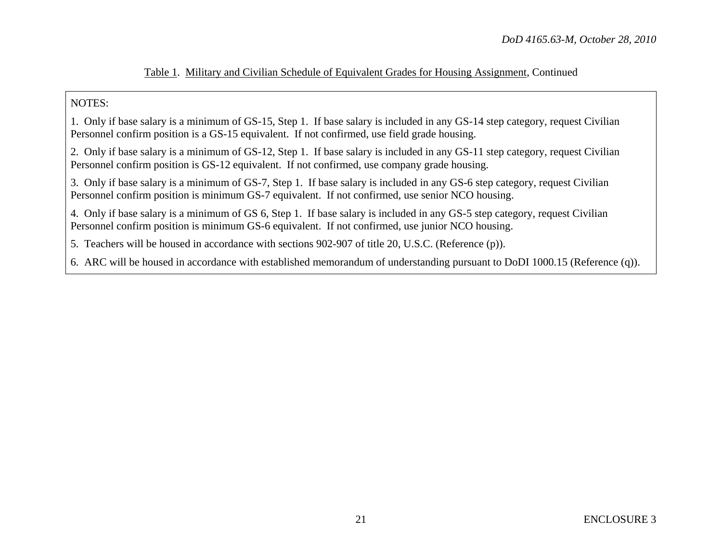#### Table 1. Military and Civilian Schedule of Equivalent Grades for Housing Assignment, Continued

#### NOTES:

1. Only if base salary is a minimum of GS-15, Step 1. If base salary is included in any GS-14 step category, request Civilian Personnel confirm position is a GS-15 equivalent. If not confirmed, use field grade housing.

2. Only if base salary is a minimum of GS-12, Step 1. If base salary is included in any GS-11 step category, request Civilian Personnel confirm position is GS-12 equivalent. If not confirmed, use company grade housing.

3. Only if base salary is a minimum of GS-7, Step 1. If base salary is included in any GS-6 step category, request Civilian Personnel confirm position is minimum GS-7 equivalent. If not confirmed, use senior NCO housing.

4. Only if base salary is a minimum of GS 6, Step 1. If base salary is included in any GS-5 step category, request Civilian Personnel confirm position is minimum GS-6 equivalent. If not confirmed, use junior NCO housing.

5. Teachers will be housed in accordance with sections 902-907 of title 20, U.S.C. (Reference (p)).

6. ARC will be housed in accordance with established memorandum of understanding pursuant to DoDI 1000.15 (Reference (q)).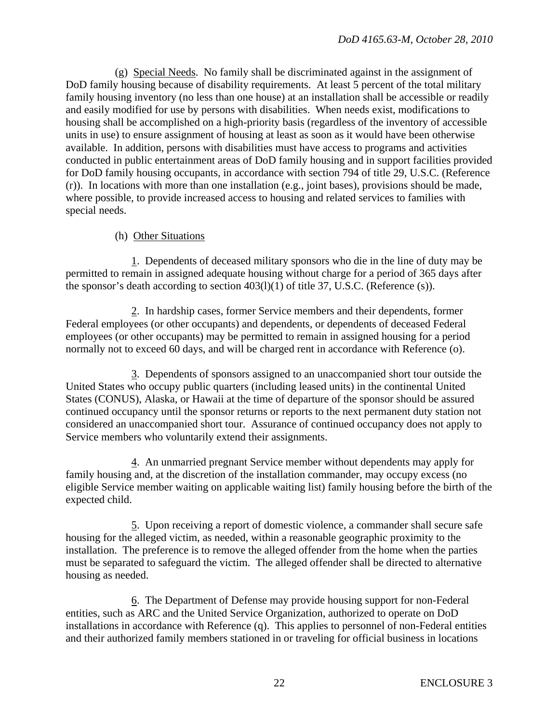(g) Special Needs. No family shall be discriminated against in the assignment of DoD family housing because of disability requirements. At least 5 percent of the total military family housing inventory (no less than one house) at an installation shall be accessible or readily and easily modified for use by persons with disabilities. When needs exist, modifications to housing shall be accomplished on a high-priority basis (regardless of the inventory of accessible units in use) to ensure assignment of housing at least as soon as it would have been otherwise available. In addition, persons with disabilities must have access to programs and activities conducted in public entertainment areas of DoD family housing and in support facilities provided for DoD family housing occupants, in accordance with section 794 of title 29, U.S.C. (Reference (r)). In locations with more than one installation (e.g., joint bases), provisions should be made, where possible, to provide increased access to housing and related services to families with special needs.

# (h) Other Situations

 1. Dependents of deceased military sponsors who die in the line of duty may be permitted to remain in assigned adequate housing without charge for a period of 365 days after the sponsor's death according to section 403(l)(1) of title 37, U.S.C. (Reference (s)).

 2. In hardship cases, former Service members and their dependents, former Federal employees (or other occupants) and dependents, or dependents of deceased Federal employees (or other occupants) may be permitted to remain in assigned housing for a period normally not to exceed 60 days, and will be charged rent in accordance with Reference (o).

 3. Dependents of sponsors assigned to an unaccompanied short tour outside the United States who occupy public quarters (including leased units) in the continental United States (CONUS), Alaska, or Hawaii at the time of departure of the sponsor should be assured continued occupancy until the sponsor returns or reports to the next permanent duty station not considered an unaccompanied short tour. Assurance of continued occupancy does not apply to Service members who voluntarily extend their assignments.

 4. An unmarried pregnant Service member without dependents may apply for family housing and, at the discretion of the installation commander, may occupy excess (no eligible Service member waiting on applicable waiting list) family housing before the birth of the expected child.

 5. Upon receiving a report of domestic violence, a commander shall secure safe housing for the alleged victim, as needed, within a reasonable geographic proximity to the installation. The preference is to remove the alleged offender from the home when the parties must be separated to safeguard the victim. The alleged offender shall be directed to alternative housing as needed.

 6. The Department of Defense may provide housing support for non-Federal entities, such as ARC and the United Service Organization, authorized to operate on DoD installations in accordance with Reference (q). This applies to personnel of non-Federal entities and their authorized family members stationed in or traveling for official business in locations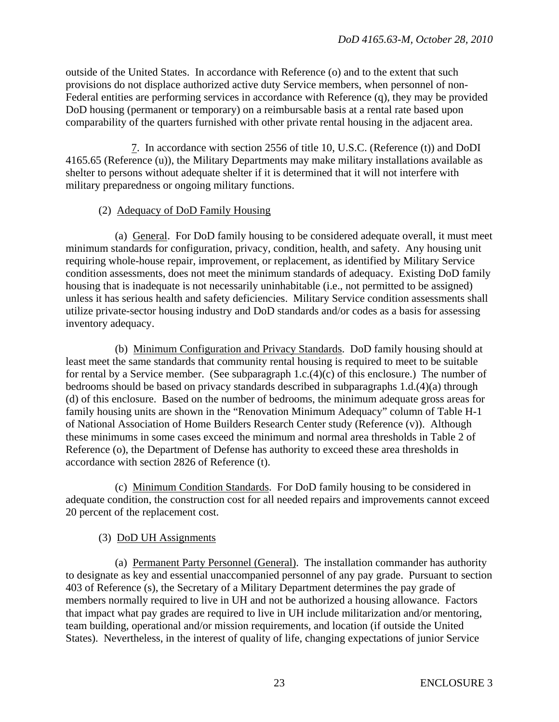outside of the United States. In accordance with Reference (o) and to the extent that such provisions do not displace authorized active duty Service members, when personnel of non-Federal entities are performing services in accordance with Reference (q), they may be provided DoD housing (permanent or temporary) on a reimbursable basis at a rental rate based upon comparability of the quarters furnished with other private rental housing in the adjacent area.

 7. In accordance with section 2556 of title 10, U.S.C. (Reference (t)) and DoDI 4165.65 (Reference (u)), the Military Departments may make military installations available as shelter to persons without adequate shelter if it is determined that it will not interfere with military preparedness or ongoing military functions.

# (2) Adequacy of DoD Family Housing

 (a) General. For DoD family housing to be considered adequate overall, it must meet minimum standards for configuration, privacy, condition, health, and safety. Any housing unit requiring whole-house repair, improvement, or replacement, as identified by Military Service condition assessments, does not meet the minimum standards of adequacy. Existing DoD family housing that is inadequate is not necessarily uninhabitable (i.e., not permitted to be assigned) unless it has serious health and safety deficiencies. Military Service condition assessments shall utilize private-sector housing industry and DoD standards and/or codes as a basis for assessing inventory adequacy.

 (b) Minimum Configuration and Privacy Standards. DoD family housing should at least meet the same standards that community rental housing is required to meet to be suitable for rental by a Service member. (See subparagraph  $1.c.(4)(c)$  of this enclosure.) The number of bedrooms should be based on privacy standards described in subparagraphs 1.d.(4)(a) through (d) of this enclosure. Based on the number of bedrooms, the minimum adequate gross areas for family housing units are shown in the "Renovation Minimum Adequacy" column of Table H-1 of National Association of Home Builders Research Center study (Reference (v)). Although these minimums in some cases exceed the minimum and normal area thresholds in Table 2 of Reference (o), the Department of Defense has authority to exceed these area thresholds in accordance with section 2826 of Reference (t).

 (c) Minimum Condition Standards. For DoD family housing to be considered in adequate condition, the construction cost for all needed repairs and improvements cannot exceed 20 percent of the replacement cost.

# (3) DoD UH Assignments

 (a) Permanent Party Personnel (General). The installation commander has authority to designate as key and essential unaccompanied personnel of any pay grade. Pursuant to section 403 of Reference (s), the Secretary of a Military Department determines the pay grade of members normally required to live in UH and not be authorized a housing allowance. Factors that impact what pay grades are required to live in UH include militarization and/or mentoring, team building, operational and/or mission requirements, and location (if outside the United States). Nevertheless, in the interest of quality of life, changing expectations of junior Service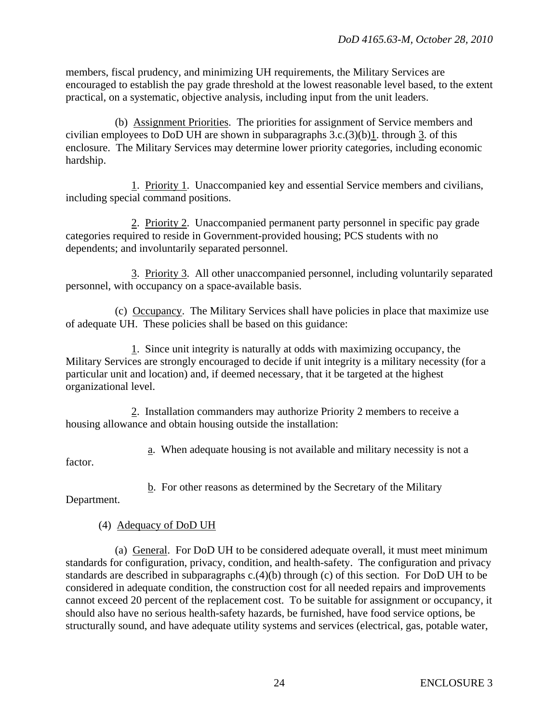members, fiscal prudency, and minimizing UH requirements, the Military Services are encouraged to establish the pay grade threshold at the lowest reasonable level based, to the extent practical, on a systematic, objective analysis, including input from the unit leaders.

 (b) Assignment Priorities. The priorities for assignment of Service members and civilian employees to DoD UH are shown in subparagraphs  $3.c.(3)(b)1$ . through 3. of this enclosure. The Military Services may determine lower priority categories, including economic hardship.

 1. Priority 1. Unaccompanied key and essential Service members and civilians, including special command positions.

 2. Priority 2. Unaccompanied permanent party personnel in specific pay grade categories required to reside in Government-provided housing; PCS students with no dependents; and involuntarily separated personnel.

 3. Priority 3. All other unaccompanied personnel, including voluntarily separated personnel, with occupancy on a space-available basis.

 (c) Occupancy. The Military Services shall have policies in place that maximize use of adequate UH. These policies shall be based on this guidance:

 1. Since unit integrity is naturally at odds with maximizing occupancy, the Military Services are strongly encouraged to decide if unit integrity is a military necessity (for a particular unit and location) and, if deemed necessary, that it be targeted at the highest organizational level.

 2. Installation commanders may authorize Priority 2 members to receive a housing allowance and obtain housing outside the installation:

a. When adequate housing is not available and military necessity is not a

factor.

b. For other reasons as determined by the Secretary of the Military

Department.

# (4) Adequacy of DoD UH

 (a) General. For DoD UH to be considered adequate overall, it must meet minimum standards for configuration, privacy, condition, and health-safety. The configuration and privacy standards are described in subparagraphs c.(4)(b) through (c) of this section. For DoD UH to be considered in adequate condition, the construction cost for all needed repairs and improvements cannot exceed 20 percent of the replacement cost. To be suitable for assignment or occupancy, it should also have no serious health-safety hazards, be furnished, have food service options, be structurally sound, and have adequate utility systems and services (electrical, gas, potable water,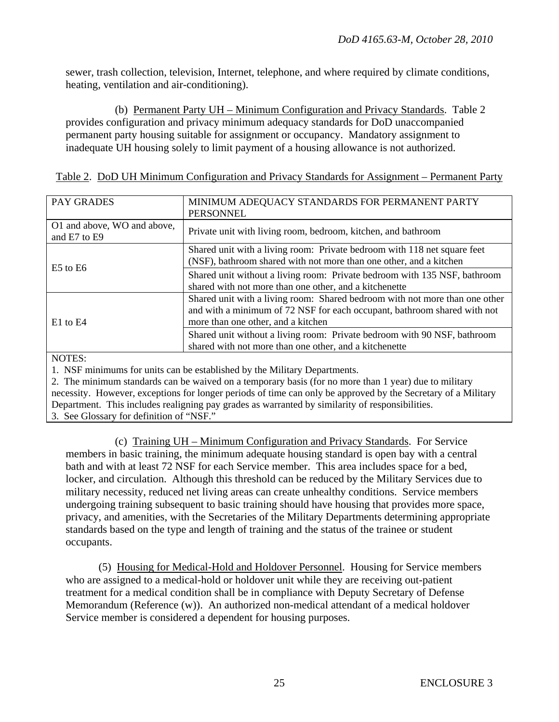sewer, trash collection, television, Internet, telephone, and where required by climate conditions, heating, ventilation and air-conditioning).

 (b) Permanent Party UH – Minimum Configuration and Privacy Standards. Table 2 provides configuration and privacy minimum adequacy standards for DoD unaccompanied permanent party housing suitable for assignment or occupancy. Mandatory assignment to inadequate UH housing solely to limit payment of a housing allowance is not authorized.

| PAY GRADES                                  | MINIMUM ADEQUACY STANDARDS FOR PERMANENT PARTY<br><b>PERSONNEL</b>                                                                                                                            |
|---------------------------------------------|-----------------------------------------------------------------------------------------------------------------------------------------------------------------------------------------------|
| O1 and above, WO and above,<br>and E7 to E9 | Private unit with living room, bedroom, kitchen, and bathroom                                                                                                                                 |
|                                             | Shared unit with a living room: Private bedroom with 118 net square feet<br>(NSF), bathroom shared with not more than one other, and a kitchen                                                |
| $E5$ to $E6$                                | Shared unit without a living room: Private bedroom with 135 NSF, bathroom<br>shared with not more than one other, and a kitchenette                                                           |
| $E1$ to $E4$                                | Shared unit with a living room: Shared bedroom with not more than one other<br>and with a minimum of 72 NSF for each occupant, bathroom shared with not<br>more than one other, and a kitchen |
|                                             | Shared unit without a living room: Private bedroom with 90 NSF, bathroom<br>shared with not more than one other, and a kitchenette                                                            |
| NOTES.                                      |                                                                                                                                                                                               |

|  | Table 2. DoD UH Minimum Configuration and Privacy Standards for Assignment – Permanent Party |  |  |  |  |  |
|--|----------------------------------------------------------------------------------------------|--|--|--|--|--|
|  |                                                                                              |  |  |  |  |  |

NOTES:

1. NSF minimums for units can be established by the Military Departments.

2. The minimum standards can be waived on a temporary basis (for no more than 1 year) due to military necessity. However, exceptions for longer periods of time can only be approved by the Secretary of a Military Department. This includes realigning pay grades as warranted by similarity of responsibilities.

3. See Glossary for definition of "NSF."

 (c) Training UH – Minimum Configuration and Privacy Standards. For Service members in basic training, the minimum adequate housing standard is open bay with a central bath and with at least 72 NSF for each Service member. This area includes space for a bed, locker, and circulation. Although this threshold can be reduced by the Military Services due to military necessity, reduced net living areas can create unhealthy conditions. Service members undergoing training subsequent to basic training should have housing that provides more space, privacy, and amenities, with the Secretaries of the Military Departments determining appropriate standards based on the type and length of training and the status of the trainee or student occupants.

 (5) Housing for Medical-Hold and Holdover Personnel. Housing for Service members who are assigned to a medical-hold or holdover unit while they are receiving out-patient treatment for a medical condition shall be in compliance with Deputy Secretary of Defense Memorandum (Reference (w)). An authorized non-medical attendant of a medical holdover Service member is considered a dependent for housing purposes.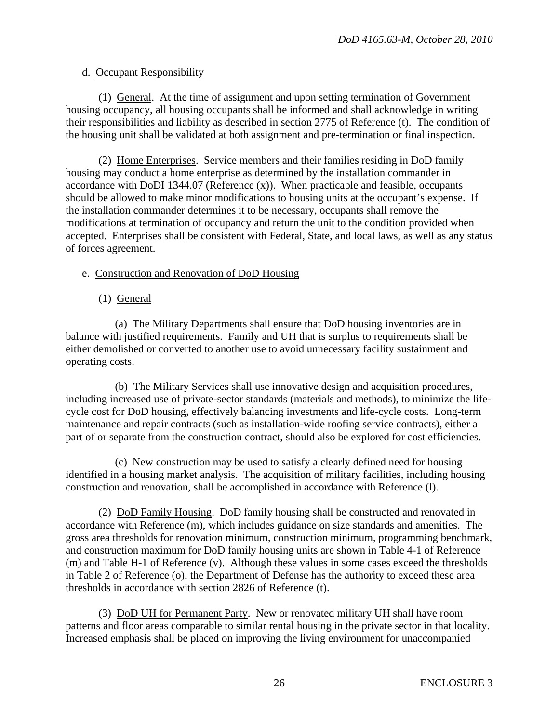#### d. Occupant Responsibility

 (1) General. At the time of assignment and upon setting termination of Government housing occupancy, all housing occupants shall be informed and shall acknowledge in writing their responsibilities and liability as described in section 2775 of Reference (t). The condition of the housing unit shall be validated at both assignment and pre-termination or final inspection.

 (2) Home Enterprises. Service members and their families residing in DoD family housing may conduct a home enterprise as determined by the installation commander in accordance with DoDI 1344.07 (Reference (x)). When practicable and feasible, occupants should be allowed to make minor modifications to housing units at the occupant's expense. If the installation commander determines it to be necessary, occupants shall remove the modifications at termination of occupancy and return the unit to the condition provided when accepted. Enterprises shall be consistent with Federal, State, and local laws, as well as any status of forces agreement.

#### e. Construction and Renovation of DoD Housing

(1) General

 (a) The Military Departments shall ensure that DoD housing inventories are in balance with justified requirements. Family and UH that is surplus to requirements shall be either demolished or converted to another use to avoid unnecessary facility sustainment and operating costs.

 (b) The Military Services shall use innovative design and acquisition procedures, including increased use of private-sector standards (materials and methods), to minimize the lifecycle cost for DoD housing, effectively balancing investments and life-cycle costs. Long-term maintenance and repair contracts (such as installation-wide roofing service contracts), either a part of or separate from the construction contract, should also be explored for cost efficiencies.

 (c) New construction may be used to satisfy a clearly defined need for housing identified in a housing market analysis. The acquisition of military facilities, including housing construction and renovation, shall be accomplished in accordance with Reference (l).

 (2) DoD Family Housing. DoD family housing shall be constructed and renovated in accordance with Reference (m), which includes guidance on size standards and amenities. The gross area thresholds for renovation minimum, construction minimum, programming benchmark, and construction maximum for DoD family housing units are shown in Table 4-1 of Reference (m) and Table H-1 of Reference (v). Although these values in some cases exceed the thresholds in Table 2 of Reference (o), the Department of Defense has the authority to exceed these area thresholds in accordance with section 2826 of Reference (t).

 (3) DoD UH for Permanent Party. New or renovated military UH shall have room patterns and floor areas comparable to similar rental housing in the private sector in that locality. Increased emphasis shall be placed on improving the living environment for unaccompanied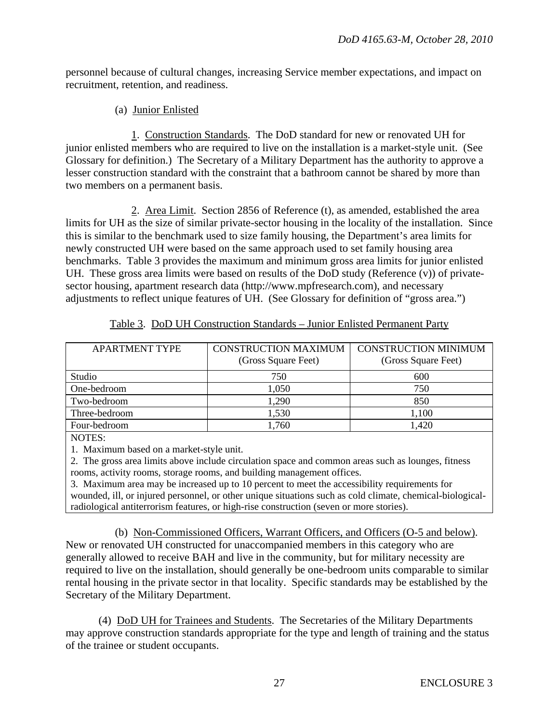personnel because of cultural changes, increasing Service member expectations, and impact on recruitment, retention, and readiness.

(a) Junior Enlisted

 1. Construction Standards. The DoD standard for new or renovated UH for junior enlisted members who are required to live on the installation is a market-style unit. (See Glossary for definition.) The Secretary of a Military Department has the authority to approve a lesser construction standard with the constraint that a bathroom cannot be shared by more than two members on a permanent basis.

 2. Area Limit. Section 2856 of Reference (t), as amended, established the area limits for UH as the size of similar private-sector housing in the locality of the installation. Since this is similar to the benchmark used to size family housing, the Department's area limits for newly constructed UH were based on the same approach used to set family housing area benchmarks. Table 3 provides the maximum and minimum gross area limits for junior enlisted UH. These gross area limits were based on results of the DoD study (Reference (v)) of privatesector housing, apartment research data (http://www.mpfresearch.com), and necessary adjustments to reflect unique features of UH. (See Glossary for definition of "gross area.")

| <b>APARTMENT TYPE</b> | CONSTRUCTION MAXIMUM<br>(Gross Square Feet) | CONSTRUCTION MINIMUM<br>(Gross Square Feet) |
|-----------------------|---------------------------------------------|---------------------------------------------|
| Studio                | 750                                         | 600                                         |
| One-bedroom           | 1,050                                       | 750                                         |
| Two-bedroom           | 1,290                                       | 850                                         |
| Three-bedroom         | 1,530                                       | 1.100                                       |
| Four-bedroom          | 1,760                                       | 1,420                                       |

| Table 3. DoD UH Construction Standards – Junior Enlisted Permanent Party |  |
|--------------------------------------------------------------------------|--|
|--------------------------------------------------------------------------|--|

NOTES:

1. Maximum based on a market-style unit.

2. The gross area limits above include circulation space and common areas such as lounges, fitness rooms, activity rooms, storage rooms, and building management offices.

3. Maximum area may be increased up to 10 percent to meet the accessibility requirements for wounded, ill, or injured personnel, or other unique situations such as cold climate, chemical-biologicalradiological antiterrorism features, or high-rise construction (seven or more stories).

 (b) Non-Commissioned Officers, Warrant Officers, and Officers (O-5 and below). New or renovated UH constructed for unaccompanied members in this category who are generally allowed to receive BAH and live in the community, but for military necessity are required to live on the installation, should generally be one-bedroom units comparable to similar rental housing in the private sector in that locality. Specific standards may be established by the Secretary of the Military Department.

 (4) DoD UH for Trainees and Students. The Secretaries of the Military Departments may approve construction standards appropriate for the type and length of training and the status of the trainee or student occupants.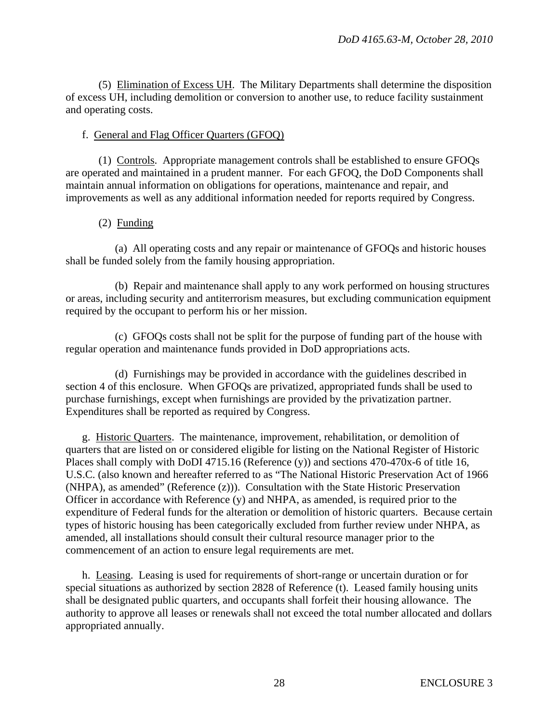(5) Elimination of Excess UH. The Military Departments shall determine the disposition of excess UH, including demolition or conversion to another use, to reduce facility sustainment and operating costs.

#### f. General and Flag Officer Quarters (GFOQ)

 (1) Controls. Appropriate management controls shall be established to ensure GFOQs are operated and maintained in a prudent manner. For each GFOQ, the DoD Components shall maintain annual information on obligations for operations, maintenance and repair, and improvements as well as any additional information needed for reports required by Congress.

(2) Funding

 (a) All operating costs and any repair or maintenance of GFOQs and historic houses shall be funded solely from the family housing appropriation.

 (b) Repair and maintenance shall apply to any work performed on housing structures or areas, including security and antiterrorism measures, but excluding communication equipment required by the occupant to perform his or her mission.

 (c) GFOQs costs shall not be split for the purpose of funding part of the house with regular operation and maintenance funds provided in DoD appropriations acts.

 (d) Furnishings may be provided in accordance with the guidelines described in section 4 of this enclosure. When GFOQs are privatized, appropriated funds shall be used to purchase furnishings, except when furnishings are provided by the privatization partner. Expenditures shall be reported as required by Congress.

 g. Historic Quarters. The maintenance, improvement, rehabilitation, or demolition of quarters that are listed on or considered eligible for listing on the National Register of Historic Places shall comply with DoDI 4715.16 (Reference (y)) and sections 470-470x-6 of title 16, U.S.C. (also known and hereafter referred to as "The National Historic Preservation Act of 1966 (NHPA), as amended" (Reference (z))). Consultation with the State Historic Preservation Officer in accordance with Reference (y) and NHPA, as amended, is required prior to the expenditure of Federal funds for the alteration or demolition of historic quarters. Because certain types of historic housing has been categorically excluded from further review under NHPA, as amended, all installations should consult their cultural resource manager prior to the commencement of an action to ensure legal requirements are met.

 h. Leasing. Leasing is used for requirements of short-range or uncertain duration or for special situations as authorized by section 2828 of Reference (t). Leased family housing units shall be designated public quarters, and occupants shall forfeit their housing allowance. The authority to approve all leases or renewals shall not exceed the total number allocated and dollars appropriated annually.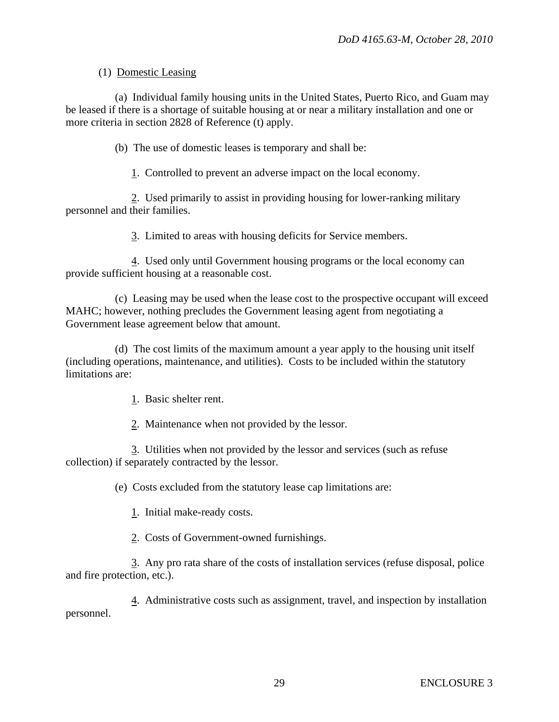# (1) Domestic Leasing

 (a) Individual family housing units in the United States, Puerto Rico, and Guam may be leased if there is a shortage of suitable housing at or near a military installation and one or more criteria in section 2828 of Reference (t) apply.

(b) The use of domestic leases is temporary and shall be:

1. Controlled to prevent an adverse impact on the local economy.

 2. Used primarily to assist in providing housing for lower-ranking military personnel and their families.

3. Limited to areas with housing deficits for Service members.

 4. Used only until Government housing programs or the local economy can provide sufficient housing at a reasonable cost.

 (c) Leasing may be used when the lease cost to the prospective occupant will exceed MAHC; however, nothing precludes the Government leasing agent from negotiating a Government lease agreement below that amount.

 (d) The cost limits of the maximum amount a year apply to the housing unit itself (including operations, maintenance, and utilities). Costs to be included within the statutory limitations are:

1. Basic shelter rent.

2. Maintenance when not provided by the lessor.

 3. Utilities when not provided by the lessor and services (such as refuse collection) if separately contracted by the lessor.

(e) Costs excluded from the statutory lease cap limitations are:

1. Initial make-ready costs.

2. Costs of Government-owned furnishings.

 3. Any pro rata share of the costs of installation services (refuse disposal, police and fire protection, etc.).

 4. Administrative costs such as assignment, travel, and inspection by installation personnel.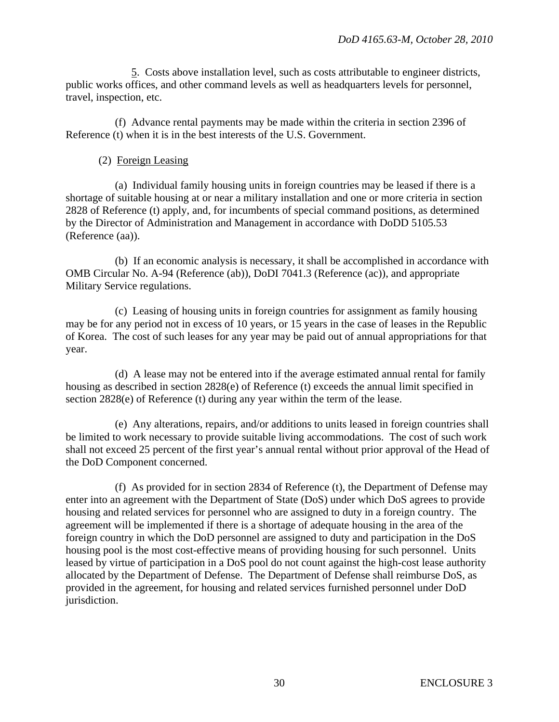5. Costs above installation level, such as costs attributable to engineer districts, public works offices, and other command levels as well as headquarters levels for personnel, travel, inspection, etc.

 (f) Advance rental payments may be made within the criteria in section 2396 of Reference (t) when it is in the best interests of the U.S. Government.

# (2) Foreign Leasing

 (a) Individual family housing units in foreign countries may be leased if there is a shortage of suitable housing at or near a military installation and one or more criteria in section 2828 of Reference (t) apply, and, for incumbents of special command positions, as determined by the Director of Administration and Management in accordance with DoDD 5105.53 (Reference (aa)).

 (b) If an economic analysis is necessary, it shall be accomplished in accordance with OMB Circular No. A-94 (Reference (ab)), DoDI 7041.3 (Reference (ac)), and appropriate Military Service regulations.

 (c) Leasing of housing units in foreign countries for assignment as family housing may be for any period not in excess of 10 years, or 15 years in the case of leases in the Republic of Korea. The cost of such leases for any year may be paid out of annual appropriations for that year.

 (d) A lease may not be entered into if the average estimated annual rental for family housing as described in section 2828(e) of Reference (t) exceeds the annual limit specified in section 2828(e) of Reference (t) during any year within the term of the lease.

 (e) Any alterations, repairs, and/or additions to units leased in foreign countries shall be limited to work necessary to provide suitable living accommodations. The cost of such work shall not exceed 25 percent of the first year's annual rental without prior approval of the Head of the DoD Component concerned.

 (f) As provided for in section 2834 of Reference (t), the Department of Defense may enter into an agreement with the Department of State (DoS) under which DoS agrees to provide housing and related services for personnel who are assigned to duty in a foreign country. The agreement will be implemented if there is a shortage of adequate housing in the area of the foreign country in which the DoD personnel are assigned to duty and participation in the DoS housing pool is the most cost-effective means of providing housing for such personnel. Units leased by virtue of participation in a DoS pool do not count against the high-cost lease authority allocated by the Department of Defense. The Department of Defense shall reimburse DoS, as provided in the agreement, for housing and related services furnished personnel under DoD jurisdiction.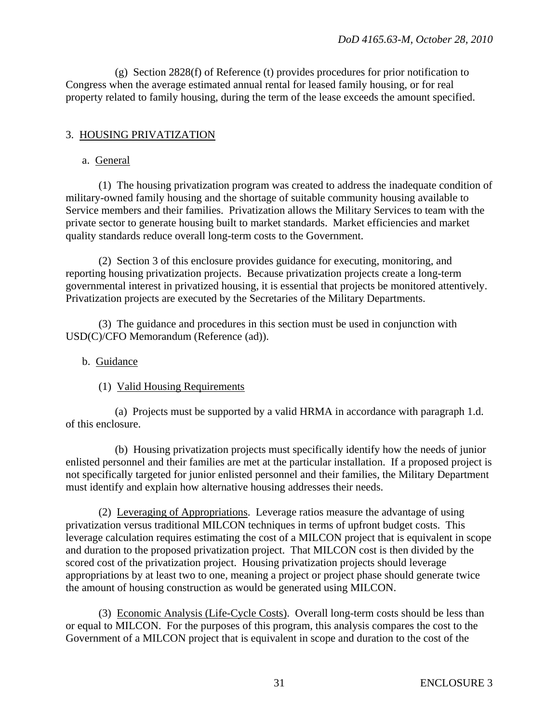(g) Section 2828(f) of Reference (t) provides procedures for prior notification to Congress when the average estimated annual rental for leased family housing, or for real property related to family housing, during the term of the lease exceeds the amount specified.

# 3. HOUSING PRIVATIZATION

#### a. General

 (1) The housing privatization program was created to address the inadequate condition of military-owned family housing and the shortage of suitable community housing available to Service members and their families. Privatization allows the Military Services to team with the private sector to generate housing built to market standards. Market efficiencies and market quality standards reduce overall long-term costs to the Government.

 (2) Section 3 of this enclosure provides guidance for executing, monitoring, and reporting housing privatization projects. Because privatization projects create a long-term governmental interest in privatized housing, it is essential that projects be monitored attentively. Privatization projects are executed by the Secretaries of the Military Departments.

 (3) The guidance and procedures in this section must be used in conjunction with USD(C)/CFO Memorandum (Reference (ad)).

#### b. Guidance

# (1) Valid Housing Requirements

 (a) Projects must be supported by a valid HRMA in accordance with paragraph 1.d. of this enclosure.

 (b) Housing privatization projects must specifically identify how the needs of junior enlisted personnel and their families are met at the particular installation. If a proposed project is not specifically targeted for junior enlisted personnel and their families, the Military Department must identify and explain how alternative housing addresses their needs.

 (2) Leveraging of Appropriations. Leverage ratios measure the advantage of using privatization versus traditional MILCON techniques in terms of upfront budget costs. This leverage calculation requires estimating the cost of a MILCON project that is equivalent in scope and duration to the proposed privatization project. That MILCON cost is then divided by the scored cost of the privatization project. Housing privatization projects should leverage appropriations by at least two to one, meaning a project or project phase should generate twice the amount of housing construction as would be generated using MILCON.

 (3) Economic Analysis (Life-Cycle Costs). Overall long-term costs should be less than or equal to MILCON. For the purposes of this program, this analysis compares the cost to the Government of a MILCON project that is equivalent in scope and duration to the cost of the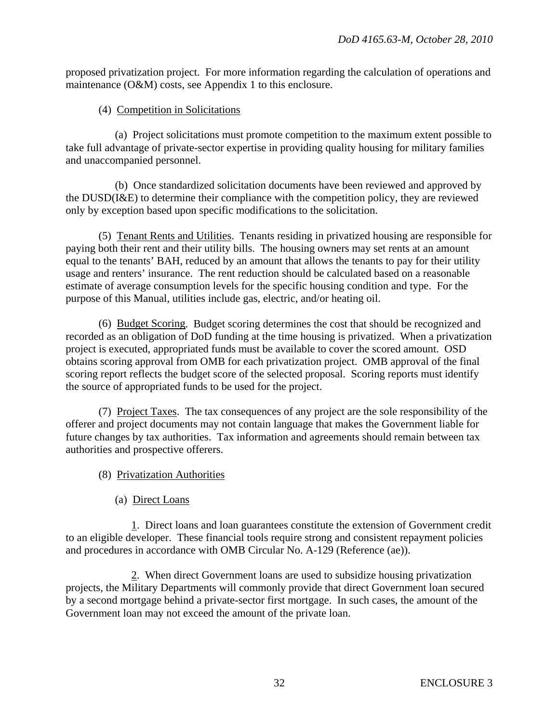proposed privatization project. For more information regarding the calculation of operations and maintenance (O&M) costs, see Appendix 1 to this enclosure.

# (4) Competition in Solicitations

 (a) Project solicitations must promote competition to the maximum extent possible to take full advantage of private-sector expertise in providing quality housing for military families and unaccompanied personnel.

 (b) Once standardized solicitation documents have been reviewed and approved by the DUSD(I&E) to determine their compliance with the competition policy, they are reviewed only by exception based upon specific modifications to the solicitation.

 (5) Tenant Rents and Utilities. Tenants residing in privatized housing are responsible for paying both their rent and their utility bills. The housing owners may set rents at an amount equal to the tenants' BAH, reduced by an amount that allows the tenants to pay for their utility usage and renters' insurance. The rent reduction should be calculated based on a reasonable estimate of average consumption levels for the specific housing condition and type. For the purpose of this Manual, utilities include gas, electric, and/or heating oil.

 (6) Budget Scoring. Budget scoring determines the cost that should be recognized and recorded as an obligation of DoD funding at the time housing is privatized. When a privatization project is executed, appropriated funds must be available to cover the scored amount. OSD obtains scoring approval from OMB for each privatization project. OMB approval of the final scoring report reflects the budget score of the selected proposal. Scoring reports must identify the source of appropriated funds to be used for the project.

 (7) Project Taxes. The tax consequences of any project are the sole responsibility of the offerer and project documents may not contain language that makes the Government liable for future changes by tax authorities. Tax information and agreements should remain between tax authorities and prospective offerers.

- (8) Privatization Authorities
	- (a) Direct Loans

 1. Direct loans and loan guarantees constitute the extension of Government credit to an eligible developer. These financial tools require strong and consistent repayment policies and procedures in accordance with OMB Circular No. A-129 (Reference (ae)).

 2. When direct Government loans are used to subsidize housing privatization projects, the Military Departments will commonly provide that direct Government loan secured by a second mortgage behind a private-sector first mortgage. In such cases, the amount of the Government loan may not exceed the amount of the private loan.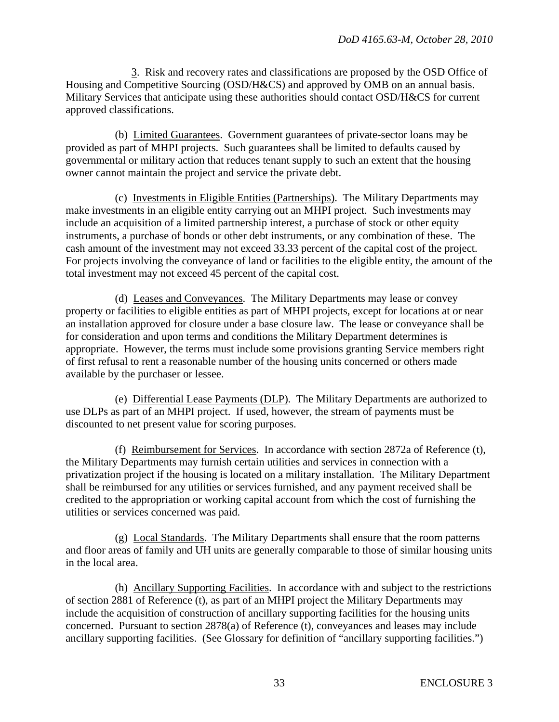3. Risk and recovery rates and classifications are proposed by the OSD Office of Housing and Competitive Sourcing (OSD/H&CS) and approved by OMB on an annual basis. Military Services that anticipate using these authorities should contact OSD/H&CS for current approved classifications.

 (b) Limited Guarantees. Government guarantees of private-sector loans may be provided as part of MHPI projects. Such guarantees shall be limited to defaults caused by governmental or military action that reduces tenant supply to such an extent that the housing owner cannot maintain the project and service the private debt.

 (c) Investments in Eligible Entities (Partnerships). The Military Departments may make investments in an eligible entity carrying out an MHPI project. Such investments may include an acquisition of a limited partnership interest, a purchase of stock or other equity instruments, a purchase of bonds or other debt instruments, or any combination of these. The cash amount of the investment may not exceed 33.33 percent of the capital cost of the project. For projects involving the conveyance of land or facilities to the eligible entity, the amount of the total investment may not exceed 45 percent of the capital cost.

 (d) Leases and Conveyances. The Military Departments may lease or convey property or facilities to eligible entities as part of MHPI projects, except for locations at or near an installation approved for closure under a base closure law. The lease or conveyance shall be for consideration and upon terms and conditions the Military Department determines is appropriate. However, the terms must include some provisions granting Service members right of first refusal to rent a reasonable number of the housing units concerned or others made available by the purchaser or lessee.

 (e) Differential Lease Payments (DLP). The Military Departments are authorized to use DLPs as part of an MHPI project. If used, however, the stream of payments must be discounted to net present value for scoring purposes.

 (f) Reimbursement for Services. In accordance with section 2872a of Reference (t), the Military Departments may furnish certain utilities and services in connection with a privatization project if the housing is located on a military installation. The Military Department shall be reimbursed for any utilities or services furnished, and any payment received shall be credited to the appropriation or working capital account from which the cost of furnishing the utilities or services concerned was paid.

 (g) Local Standards. The Military Departments shall ensure that the room patterns and floor areas of family and UH units are generally comparable to those of similar housing units in the local area.

 (h) Ancillary Supporting Facilities. In accordance with and subject to the restrictions of section 2881 of Reference (t), as part of an MHPI project the Military Departments may include the acquisition of construction of ancillary supporting facilities for the housing units concerned. Pursuant to section 2878(a) of Reference (t), conveyances and leases may include ancillary supporting facilities. (See Glossary for definition of "ancillary supporting facilities.")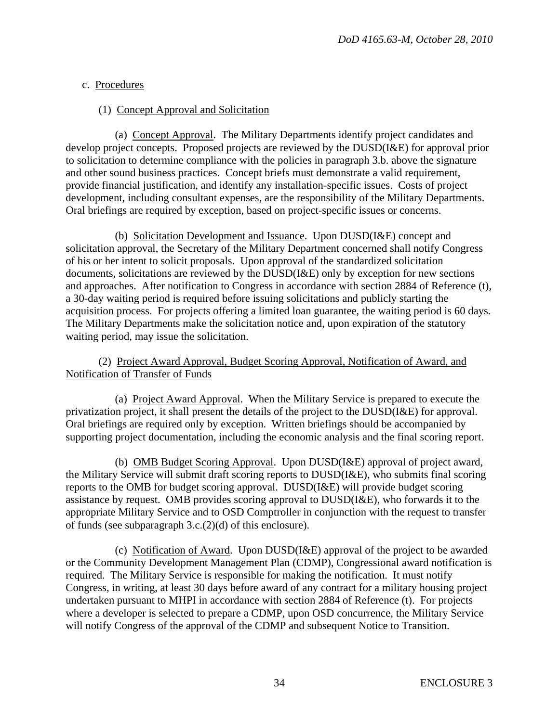# c. Procedures

# (1) Concept Approval and Solicitation

 (a) Concept Approval. The Military Departments identify project candidates and develop project concepts. Proposed projects are reviewed by the DUSD(I&E) for approval prior to solicitation to determine compliance with the policies in paragraph 3.b. above the signature and other sound business practices. Concept briefs must demonstrate a valid requirement, provide financial justification, and identify any installation-specific issues. Costs of project development, including consultant expenses, are the responsibility of the Military Departments. Oral briefings are required by exception, based on project-specific issues or concerns.

 (b) Solicitation Development and Issuance. Upon DUSD(I&E) concept and solicitation approval, the Secretary of the Military Department concerned shall notify Congress of his or her intent to solicit proposals. Upon approval of the standardized solicitation documents, solicitations are reviewed by the DUSD(I&E) only by exception for new sections and approaches. After notification to Congress in accordance with section 2884 of Reference (t), a 30-day waiting period is required before issuing solicitations and publicly starting the acquisition process. For projects offering a limited loan guarantee, the waiting period is 60 days. The Military Departments make the solicitation notice and, upon expiration of the statutory waiting period, may issue the solicitation.

 (2) Project Award Approval, Budget Scoring Approval, Notification of Award, and Notification of Transfer of Funds

 (a) Project Award Approval. When the Military Service is prepared to execute the privatization project, it shall present the details of the project to the DUSD(I&E) for approval. Oral briefings are required only by exception. Written briefings should be accompanied by supporting project documentation, including the economic analysis and the final scoring report.

 (b) OMB Budget Scoring Approval. Upon DUSD(I&E) approval of project award, the Military Service will submit draft scoring reports to DUSD(I&E), who submits final scoring reports to the OMB for budget scoring approval. DUSD(I&E) will provide budget scoring assistance by request. OMB provides scoring approval to DUSD(I&E), who forwards it to the appropriate Military Service and to OSD Comptroller in conjunction with the request to transfer of funds (see subparagraph 3.c.(2)(d) of this enclosure).

 (c) Notification of Award. Upon DUSD(I&E) approval of the project to be awarded or the Community Development Management Plan (CDMP), Congressional award notification is required. The Military Service is responsible for making the notification. It must notify Congress, in writing, at least 30 days before award of any contract for a military housing project undertaken pursuant to MHPI in accordance with section 2884 of Reference (t). For projects where a developer is selected to prepare a CDMP, upon OSD concurrence, the Military Service will notify Congress of the approval of the CDMP and subsequent Notice to Transition.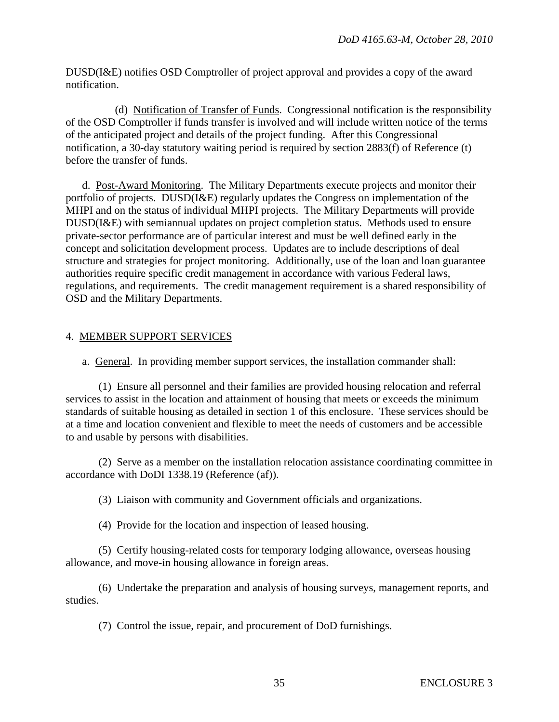DUSD(I&E) notifies OSD Comptroller of project approval and provides a copy of the award notification.

 (d) Notification of Transfer of Funds. Congressional notification is the responsibility of the OSD Comptroller if funds transfer is involved and will include written notice of the terms of the anticipated project and details of the project funding. After this Congressional notification, a 30-day statutory waiting period is required by section 2883(f) of Reference (t) before the transfer of funds.

 d. Post-Award Monitoring. The Military Departments execute projects and monitor their portfolio of projects. DUSD(I&E) regularly updates the Congress on implementation of the MHPI and on the status of individual MHPI projects. The Military Departments will provide DUSD(I&E) with semiannual updates on project completion status. Methods used to ensure private-sector performance are of particular interest and must be well defined early in the concept and solicitation development process. Updates are to include descriptions of deal structure and strategies for project monitoring. Additionally, use of the loan and loan guarantee authorities require specific credit management in accordance with various Federal laws, regulations, and requirements. The credit management requirement is a shared responsibility of OSD and the Military Departments.

# 4. MEMBER SUPPORT SERVICES

a. General. In providing member support services, the installation commander shall:

 (1) Ensure all personnel and their families are provided housing relocation and referral services to assist in the location and attainment of housing that meets or exceeds the minimum standards of suitable housing as detailed in section 1 of this enclosure. These services should be at a time and location convenient and flexible to meet the needs of customers and be accessible to and usable by persons with disabilities.

 (2) Serve as a member on the installation relocation assistance coordinating committee in accordance with DoDI 1338.19 (Reference (af)).

(3) Liaison with community and Government officials and organizations.

(4) Provide for the location and inspection of leased housing.

 (5) Certify housing-related costs for temporary lodging allowance, overseas housing allowance, and move-in housing allowance in foreign areas.

 (6) Undertake the preparation and analysis of housing surveys, management reports, and studies.

(7) Control the issue, repair, and procurement of DoD furnishings.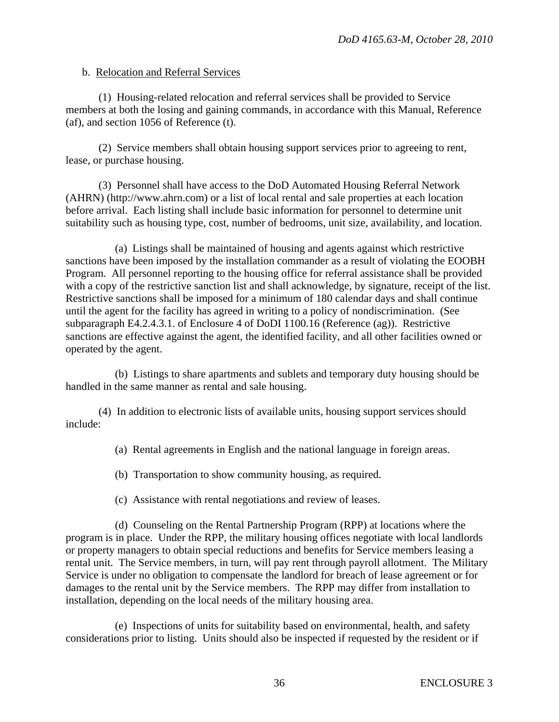#### b. Relocation and Referral Services

 (1) Housing-related relocation and referral services shall be provided to Service members at both the losing and gaining commands, in accordance with this Manual, Reference (af), and section 1056 of Reference (t).

 (2) Service members shall obtain housing support services prior to agreeing to rent, lease, or purchase housing.

 (3) Personnel shall have access to the DoD Automated Housing Referral Network (AHRN) (http://www.ahrn.com) or a list of local rental and sale properties at each location before arrival. Each listing shall include basic information for personnel to determine unit suitability such as housing type, cost, number of bedrooms, unit size, availability, and location.

 (a) Listings shall be maintained of housing and agents against which restrictive sanctions have been imposed by the installation commander as a result of violating the EOOBH Program. All personnel reporting to the housing office for referral assistance shall be provided with a copy of the restrictive sanction list and shall acknowledge, by signature, receipt of the list. Restrictive sanctions shall be imposed for a minimum of 180 calendar days and shall continue until the agent for the facility has agreed in writing to a policy of nondiscrimination. (See subparagraph E4.2.4.3.1. of Enclosure 4 of DoDI 1100.16 (Reference (ag)). Restrictive sanctions are effective against the agent, the identified facility, and all other facilities owned or operated by the agent.

 (b) Listings to share apartments and sublets and temporary duty housing should be handled in the same manner as rental and sale housing.

 (4) In addition to electronic lists of available units, housing support services should include:

(a) Rental agreements in English and the national language in foreign areas.

- (b) Transportation to show community housing, as required.
- (c) Assistance with rental negotiations and review of leases.

 (d) Counseling on the Rental Partnership Program (RPP) at locations where the program is in place. Under the RPP, the military housing offices negotiate with local landlords or property managers to obtain special reductions and benefits for Service members leasing a rental unit. The Service members, in turn, will pay rent through payroll allotment. The Military Service is under no obligation to compensate the landlord for breach of lease agreement or for damages to the rental unit by the Service members. The RPP may differ from installation to installation, depending on the local needs of the military housing area.

 (e) Inspections of units for suitability based on environmental, health, and safety considerations prior to listing. Units should also be inspected if requested by the resident or if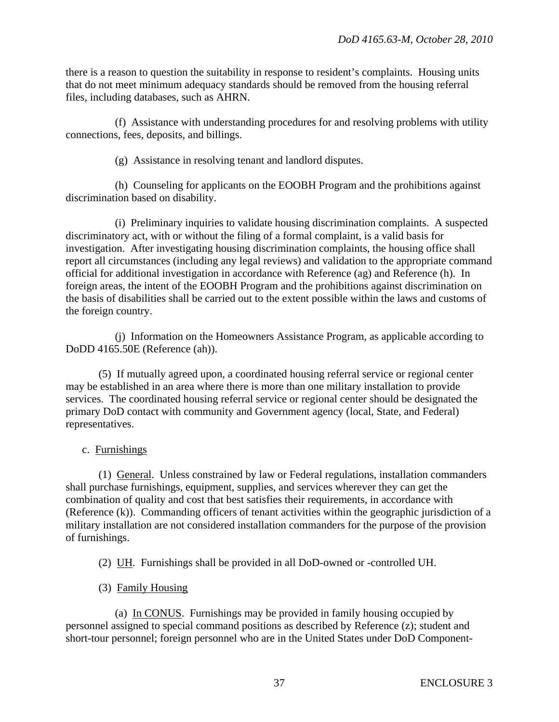there is a reason to question the suitability in response to resident's complaints. Housing units that do not meet minimum adequacy standards should be removed from the housing referral files, including databases, such as AHRN.

 (f) Assistance with understanding procedures for and resolving problems with utility connections, fees, deposits, and billings.

(g) Assistance in resolving tenant and landlord disputes.

 (h) Counseling for applicants on the EOOBH Program and the prohibitions against discrimination based on disability.

 (i) Preliminary inquiries to validate housing discrimination complaints. A suspected discriminatory act, with or without the filing of a formal complaint, is a valid basis for investigation. After investigating housing discrimination complaints, the housing office shall report all circumstances (including any legal reviews) and validation to the appropriate command official for additional investigation in accordance with Reference (ag) and Reference (h). In foreign areas, the intent of the EOOBH Program and the prohibitions against discrimination on the basis of disabilities shall be carried out to the extent possible within the laws and customs of the foreign country.

 (j) Information on the Homeowners Assistance Program, as applicable according to DoDD 4165.50E (Reference (ah)).

 (5) If mutually agreed upon, a coordinated housing referral service or regional center may be established in an area where there is more than one military installation to provide services. The coordinated housing referral service or regional center should be designated the primary DoD contact with community and Government agency (local, State, and Federal) representatives.

c. Furnishings

 (1) General. Unless constrained by law or Federal regulations, installation commanders shall purchase furnishings, equipment, supplies, and services wherever they can get the combination of quality and cost that best satisfies their requirements, in accordance with (Reference (k)). Commanding officers of tenant activities within the geographic jurisdiction of a military installation are not considered installation commanders for the purpose of the provision of furnishings.

(2) UH. Furnishings shall be provided in all DoD-owned or -controlled UH.

(3) Family Housing

 (a) In CONUS. Furnishings may be provided in family housing occupied by personnel assigned to special command positions as described by Reference (z); student and short-tour personnel; foreign personnel who are in the United States under DoD Component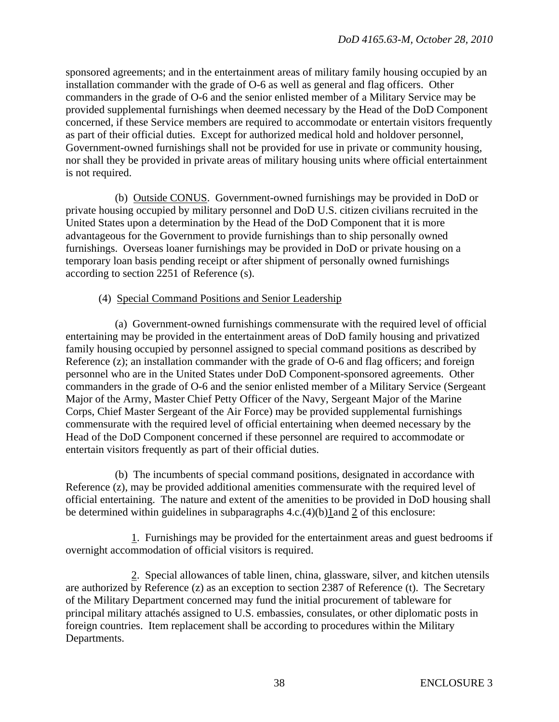sponsored agreements; and in the entertainment areas of military family housing occupied by an installation commander with the grade of O-6 as well as general and flag officers. Other commanders in the grade of O-6 and the senior enlisted member of a Military Service may be provided supplemental furnishings when deemed necessary by the Head of the DoD Component concerned, if these Service members are required to accommodate or entertain visitors frequently as part of their official duties. Except for authorized medical hold and holdover personnel, Government-owned furnishings shall not be provided for use in private or community housing, nor shall they be provided in private areas of military housing units where official entertainment is not required.

 (b) Outside CONUS. Government-owned furnishings may be provided in DoD or private housing occupied by military personnel and DoD U.S. citizen civilians recruited in the United States upon a determination by the Head of the DoD Component that it is more advantageous for the Government to provide furnishings than to ship personally owned furnishings. Overseas loaner furnishings may be provided in DoD or private housing on a temporary loan basis pending receipt or after shipment of personally owned furnishings according to section 2251 of Reference (s).

# (4) Special Command Positions and Senior Leadership

 (a) Government-owned furnishings commensurate with the required level of official entertaining may be provided in the entertainment areas of DoD family housing and privatized family housing occupied by personnel assigned to special command positions as described by Reference (z); an installation commander with the grade of O-6 and flag officers; and foreign personnel who are in the United States under DoD Component-sponsored agreements. Other commanders in the grade of O-6 and the senior enlisted member of a Military Service (Sergeant Major of the Army, Master Chief Petty Officer of the Navy, Sergeant Major of the Marine Corps, Chief Master Sergeant of the Air Force) may be provided supplemental furnishings commensurate with the required level of official entertaining when deemed necessary by the Head of the DoD Component concerned if these personnel are required to accommodate or entertain visitors frequently as part of their official duties.

 (b) The incumbents of special command positions, designated in accordance with Reference (z), may be provided additional amenities commensurate with the required level of official entertaining. The nature and extent of the amenities to be provided in DoD housing shall be determined within guidelines in subparagraphs 4.c.(4)(b)1and 2 of this enclosure:

 1. Furnishings may be provided for the entertainment areas and guest bedrooms if overnight accommodation of official visitors is required.

 2. Special allowances of table linen, china, glassware, silver, and kitchen utensils are authorized by Reference (z) as an exception to section 2387 of Reference (t).The Secretary of the Military Department concerned may fund the initial procurement of tableware for principal military attachés assigned to U.S. embassies, consulates, or other diplomatic posts in foreign countries. Item replacement shall be according to procedures within the Military Departments.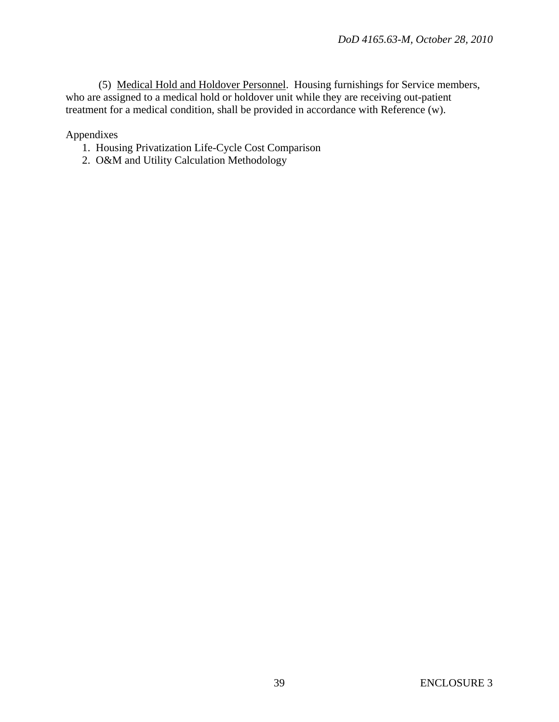(5) Medical Hold and Holdover Personnel. Housing furnishings for Service members, who are assigned to a medical hold or holdover unit while they are receiving out-patient treatment for a medical condition, shall be provided in accordance with Reference (w).

Appendixes

- 1. Housing Privatization Life-Cycle Cost Comparison
- 2. O&M and Utility Calculation Methodology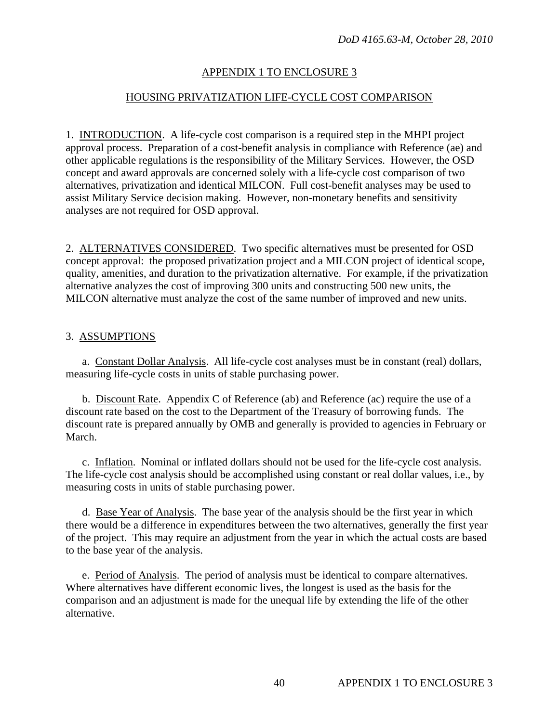# APPENDIX 1 TO ENCLOSURE 3

# HOUSING PRIVATIZATION LIFE-CYCLE COST COMPARISON

1. INTRODUCTION. A life-cycle cost comparison is a required step in the MHPI project approval process. Preparation of a cost-benefit analysis in compliance with Reference (ae) and other applicable regulations is the responsibility of the Military Services. However, the OSD concept and award approvals are concerned solely with a life-cycle cost comparison of two alternatives, privatization and identical MILCON. Full cost-benefit analyses may be used to assist Military Service decision making. However, non-monetary benefits and sensitivity analyses are not required for OSD approval.

2. ALTERNATIVES CONSIDERED. Two specific alternatives must be presented for OSD concept approval: the proposed privatization project and a MILCON project of identical scope, quality, amenities, and duration to the privatization alternative. For example, if the privatization alternative analyzes the cost of improving 300 units and constructing 500 new units, the MILCON alternative must analyze the cost of the same number of improved and new units.

# 3. ASSUMPTIONS

 a. Constant Dollar Analysis. All life-cycle cost analyses must be in constant (real) dollars, measuring life-cycle costs in units of stable purchasing power.

 b. Discount Rate. Appendix C of Reference (ab) and Reference (ac) require the use of a discount rate based on the cost to the Department of the Treasury of borrowing funds. The discount rate is prepared annually by OMB and generally is provided to agencies in February or March.

 c. Inflation. Nominal or inflated dollars should not be used for the life-cycle cost analysis. The life-cycle cost analysis should be accomplished using constant or real dollar values, i.e., by measuring costs in units of stable purchasing power.

 d. Base Year of Analysis. The base year of the analysis should be the first year in which there would be a difference in expenditures between the two alternatives, generally the first year of the project. This may require an adjustment from the year in which the actual costs are based to the base year of the analysis.

 e. Period of Analysis. The period of analysis must be identical to compare alternatives. Where alternatives have different economic lives, the longest is used as the basis for the comparison and an adjustment is made for the unequal life by extending the life of the other alternative.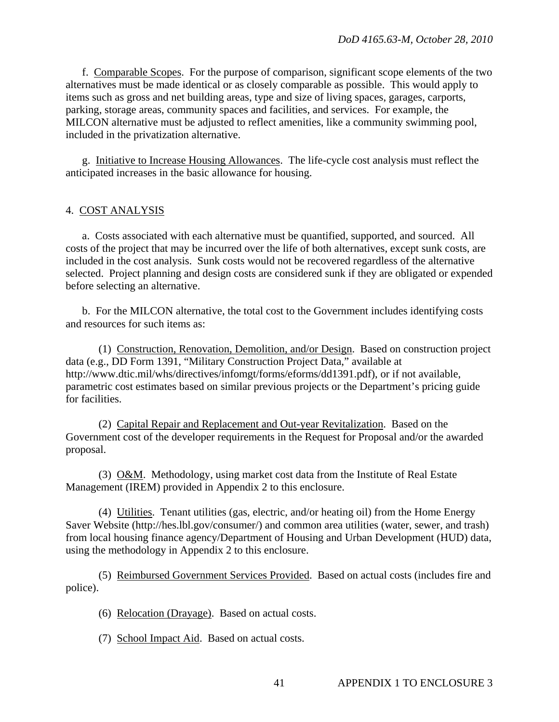f. Comparable Scopes. For the purpose of comparison, significant scope elements of the two alternatives must be made identical or as closely comparable as possible. This would apply to items such as gross and net building areas, type and size of living spaces, garages, carports, parking, storage areas, community spaces and facilities, and services. For example, the MILCON alternative must be adjusted to reflect amenities, like a community swimming pool, included in the privatization alternative.

 g. Initiative to Increase Housing Allowances. The life-cycle cost analysis must reflect the anticipated increases in the basic allowance for housing.

#### 4. COST ANALYSIS

 a. Costs associated with each alternative must be quantified, supported, and sourced. All costs of the project that may be incurred over the life of both alternatives, except sunk costs, are included in the cost analysis. Sunk costs would not be recovered regardless of the alternative selected. Project planning and design costs are considered sunk if they are obligated or expended before selecting an alternative.

 b. For the MILCON alternative, the total cost to the Government includes identifying costs and resources for such items as:

 (1) Construction, Renovation, Demolition, and/or Design. Based on construction project data (e.g., DD Form 1391, "Military Construction Project Data," available at http://www.dtic.mil/whs/directives/infomgt/forms/eforms/dd1391.pdf), or if not available, parametric cost estimates based on similar previous projects or the Department's pricing guide for facilities.

 (2) Capital Repair and Replacement and Out-year Revitalization. Based on the Government cost of the developer requirements in the Request for Proposal and/or the awarded proposal.

 (3) O&M. Methodology, using market cost data from the Institute of Real Estate Management (IREM) provided in Appendix 2 to this enclosure.

 (4) Utilities. Tenant utilities (gas, electric, and/or heating oil) from the Home Energy Saver Website (http://hes.lbl.gov/consumer/) and common area utilities (water, sewer, and trash) from local housing finance agency/Department of Housing and Urban Development (HUD) data, using the methodology in Appendix 2 to this enclosure.

 (5) Reimbursed Government Services Provided. Based on actual costs (includes fire and police).

(6) Relocation (Drayage). Based on actual costs.

(7) School Impact Aid. Based on actual costs.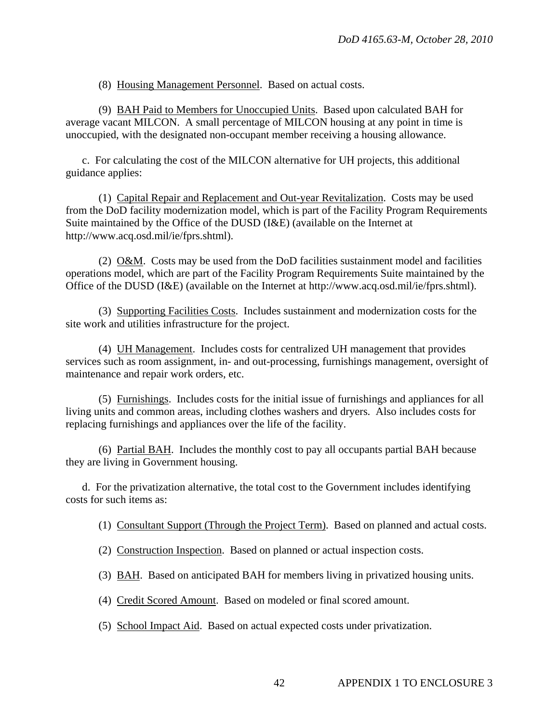(8) Housing Management Personnel. Based on actual costs.

 (9) BAH Paid to Members for Unoccupied Units. Based upon calculated BAH for average vacant MILCON. A small percentage of MILCON housing at any point in time is unoccupied, with the designated non-occupant member receiving a housing allowance.

 c. For calculating the cost of the MILCON alternative for UH projects, this additional guidance applies:

 (1) Capital Repair and Replacement and Out-year Revitalization. Costs may be used from the DoD facility modernization model, which is part of the Facility Program Requirements Suite maintained by the Office of the DUSD (I&E) (available on the Internet at http://www.acq.osd.mil/ie/fprs.shtml).

 (2) O&M. Costs may be used from the DoD facilities sustainment model and facilities operations model, which are part of the Facility Program Requirements Suite maintained by the Office of the DUSD (I&E) (available on the Internet at http://www.acq.osd.mil/ie/fprs.shtml).

 (3) Supporting Facilities Costs. Includes sustainment and modernization costs for the site work and utilities infrastructure for the project.

 (4) UH Management. Includes costs for centralized UH management that provides services such as room assignment, in- and out-processing, furnishings management, oversight of maintenance and repair work orders, etc.

 (5) Furnishings. Includes costs for the initial issue of furnishings and appliances for all living units and common areas, including clothes washers and dryers. Also includes costs for replacing furnishings and appliances over the life of the facility.

 (6) Partial BAH. Includes the monthly cost to pay all occupants partial BAH because they are living in Government housing.

 d. For the privatization alternative, the total cost to the Government includes identifying costs for such items as:

- (1) Consultant Support (Through the Project Term). Based on planned and actual costs.
- (2) Construction Inspection. Based on planned or actual inspection costs.
- (3) BAH. Based on anticipated BAH for members living in privatized housing units.
- (4) Credit Scored Amount. Based on modeled or final scored amount.
- (5) School Impact Aid. Based on actual expected costs under privatization.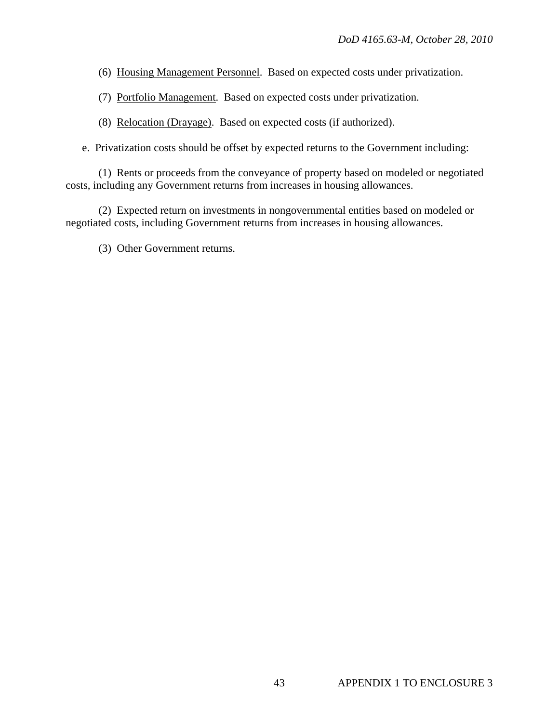- (6) Housing Management Personnel. Based on expected costs under privatization.
- (7) Portfolio Management. Based on expected costs under privatization.
- (8) Relocation (Drayage). Based on expected costs (if authorized).
- e. Privatization costs should be offset by expected returns to the Government including:

 (1) Rents or proceeds from the conveyance of property based on modeled or negotiated costs, including any Government returns from increases in housing allowances.

 (2) Expected return on investments in nongovernmental entities based on modeled or negotiated costs, including Government returns from increases in housing allowances.

(3) Other Government returns.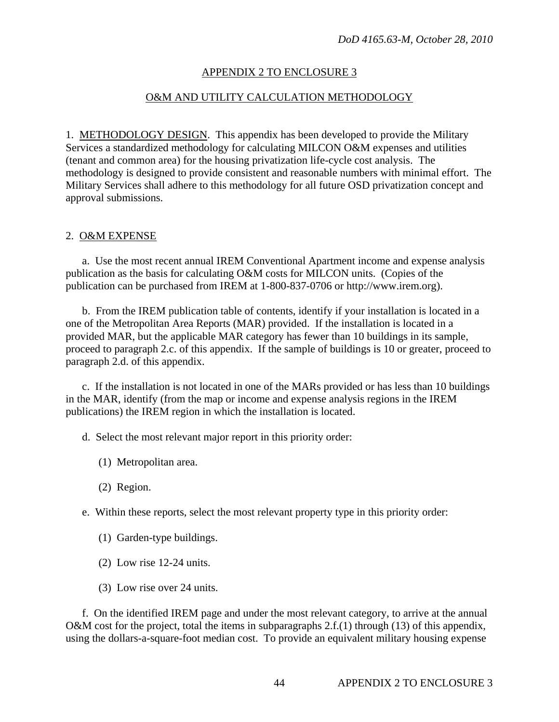# APPENDIX 2 TO ENCLOSURE 3

#### O&M AND UTILITY CALCULATION METHODOLOGY

1. METHODOLOGY DESIGN. This appendix has been developed to provide the Military Services a standardized methodology for calculating MILCON O&M expenses and utilities (tenant and common area) for the housing privatization life-cycle cost analysis. The methodology is designed to provide consistent and reasonable numbers with minimal effort. The Military Services shall adhere to this methodology for all future OSD privatization concept and approval submissions.

#### 2. O&M EXPENSE

 a. Use the most recent annual IREM Conventional Apartment income and expense analysis publication as the basis for calculating O&M costs for MILCON units. (Copies of the publication can be purchased from IREM at 1-800-837-0706 or http://www.irem.org).

 b. From the IREM publication table of contents, identify if your installation is located in a one of the Metropolitan Area Reports (MAR) provided. If the installation is located in a provided MAR, but the applicable MAR category has fewer than 10 buildings in its sample, proceed to paragraph 2.c. of this appendix. If the sample of buildings is 10 or greater, proceed to paragraph 2.d. of this appendix.

 c. If the installation is not located in one of the MARs provided or has less than 10 buildings in the MAR, identify (from the map or income and expense analysis regions in the IREM publications) the IREM region in which the installation is located.

d. Select the most relevant major report in this priority order:

- (1) Metropolitan area.
- (2) Region.
- e. Within these reports, select the most relevant property type in this priority order:
	- (1) Garden-type buildings.
	- (2) Low rise 12-24 units.
	- (3) Low rise over 24 units.

 f. On the identified IREM page and under the most relevant category, to arrive at the annual O&M cost for the project, total the items in subparagraphs 2.f.(1) through (13) of this appendix, using the dollars-a-square-foot median cost. To provide an equivalent military housing expense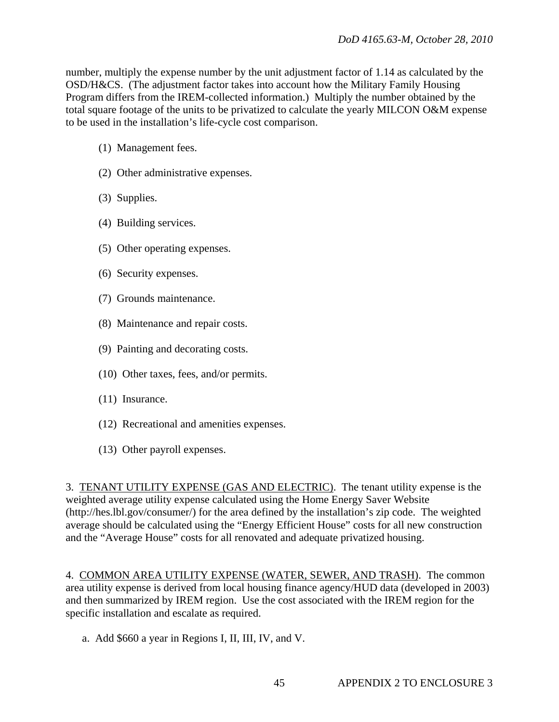number, multiply the expense number by the unit adjustment factor of 1.14 as calculated by the OSD/H&CS. (The adjustment factor takes into account how the Military Family Housing Program differs from the IREM-collected information.) Multiply the number obtained by the total square footage of the units to be privatized to calculate the yearly MILCON O&M expense to be used in the installation's life-cycle cost comparison.

- (1) Management fees.
- (2) Other administrative expenses.
- (3) Supplies.
- (4) Building services.
- (5) Other operating expenses.
- (6) Security expenses.
- (7) Grounds maintenance.
- (8) Maintenance and repair costs.
- (9) Painting and decorating costs.
- (10) Other taxes, fees, and/or permits.
- (11) Insurance.
- (12) Recreational and amenities expenses.
- (13) Other payroll expenses.

3. TENANT UTILITY EXPENSE (GAS AND ELECTRIC). The tenant utility expense is the weighted average utility expense calculated using the Home Energy Saver Website (http://hes.lbl.gov/consumer/) for the area defined by the installation's zip code. The weighted average should be calculated using the "Energy Efficient House" costs for all new construction and the "Average House" costs for all renovated and adequate privatized housing.

4. COMMON AREA UTILITY EXPENSE (WATER, SEWER, AND TRASH). The common area utility expense is derived from local housing finance agency/HUD data (developed in 2003) and then summarized by IREM region. Use the cost associated with the IREM region for the specific installation and escalate as required.

a. Add \$660 a year in Regions I, II, III, IV, and V.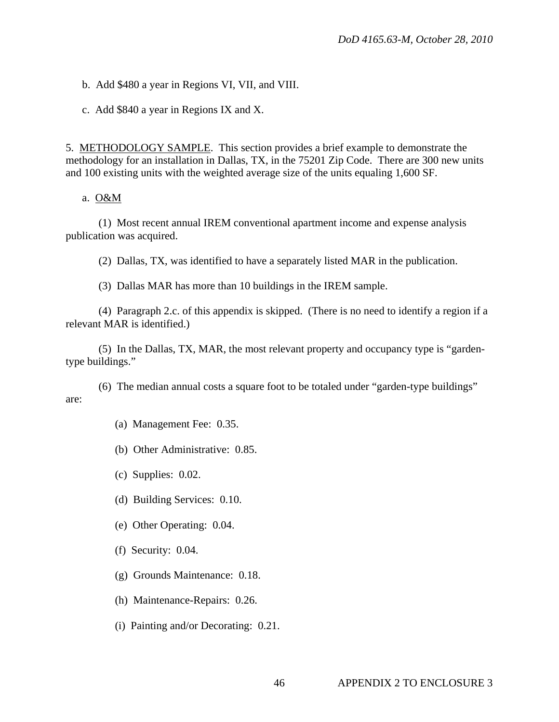b. Add \$480 a year in Regions VI, VII, and VIII.

c. Add \$840 a year in Regions IX and X.

5. METHODOLOGY SAMPLE. This section provides a brief example to demonstrate the methodology for an installation in Dallas, TX, in the 75201 Zip Code. There are 300 new units and 100 existing units with the weighted average size of the units equaling 1,600 SF.

#### a. O&M

 (1) Most recent annual IREM conventional apartment income and expense analysis publication was acquired.

(2) Dallas, TX, was identified to have a separately listed MAR in the publication.

(3) Dallas MAR has more than 10 buildings in the IREM sample.

 (4) Paragraph 2.c. of this appendix is skipped. (There is no need to identify a region if a relevant MAR is identified.)

 (5) In the Dallas, TX, MAR, the most relevant property and occupancy type is "gardentype buildings."

 (6) The median annual costs a square foot to be totaled under "garden-type buildings" are:

(a) Management Fee: 0.35.

(b) Other Administrative: 0.85.

(c) Supplies: 0.02.

(d) Building Services: 0.10.

(e) Other Operating: 0.04.

(f) Security: 0.04.

(g) Grounds Maintenance: 0.18.

(h) Maintenance-Repairs: 0.26.

(i) Painting and/or Decorating: 0.21.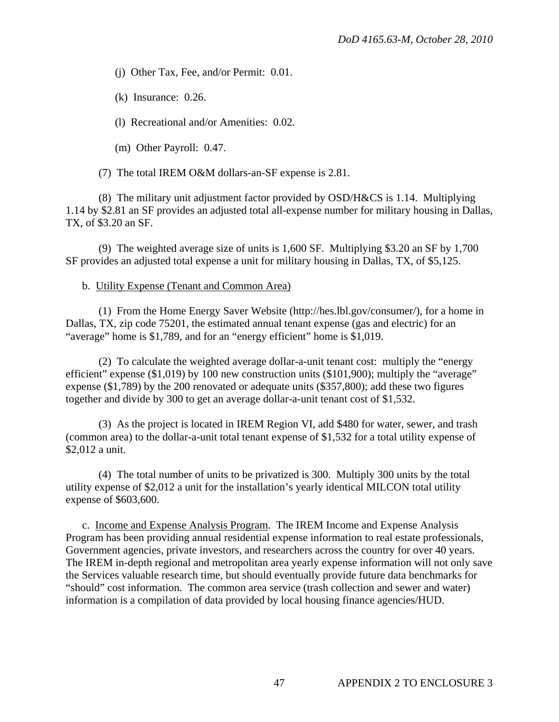(j) Other Tax, Fee, and/or Permit: 0.01.

(k) Insurance: 0.26.

(l) Recreational and/or Amenities: 0.02.

(m) Other Payroll: 0.47.

(7) The total IREM O&M dollars-an-SF expense is 2.81.

 (8) The military unit adjustment factor provided by OSD/H&CS is 1.14. Multiplying 1.14 by \$2.81 an SF provides an adjusted total all-expense number for military housing in Dallas, TX, of \$3.20 an SF.

 (9) The weighted average size of units is 1,600 SF. Multiplying \$3.20 an SF by 1,700 SF provides an adjusted total expense a unit for military housing in Dallas, TX, of \$5,125.

#### b. Utility Expense (Tenant and Common Area)

 (1) From the Home Energy Saver Website (http://hes.lbl.gov/consumer/), for a home in Dallas, TX, zip code 75201, the estimated annual tenant expense (gas and electric) for an "average" home is \$1,789, and for an "energy efficient" home is \$1,019.

 (2) To calculate the weighted average dollar-a-unit tenant cost: multiply the "energy efficient" expense (\$1,019) by 100 new construction units (\$101,900); multiply the "average" expense (\$1,789) by the 200 renovated or adequate units (\$357,800); add these two figures together and divide by 300 to get an average dollar-a-unit tenant cost of \$1,532.

 (3) As the project is located in IREM Region VI, add \$480 for water, sewer, and trash (common area) to the dollar-a-unit total tenant expense of \$1,532 for a total utility expense of \$2,012 a unit.

 (4) The total number of units to be privatized is 300. Multiply 300 units by the total utility expense of \$2,012 a unit for the installation's yearly identical MILCON total utility expense of \$603,600.

 c. Income and Expense Analysis Program. The IREM Income and Expense Analysis Program has been providing annual residential expense information to real estate professionals, Government agencies, private investors, and researchers across the country for over 40 years. The IREM in-depth regional and metropolitan area yearly expense information will not only save the Services valuable research time, but should eventually provide future data benchmarks for "should" cost information. The common area service (trash collection and sewer and water) information is a compilation of data provided by local housing finance agencies/HUD.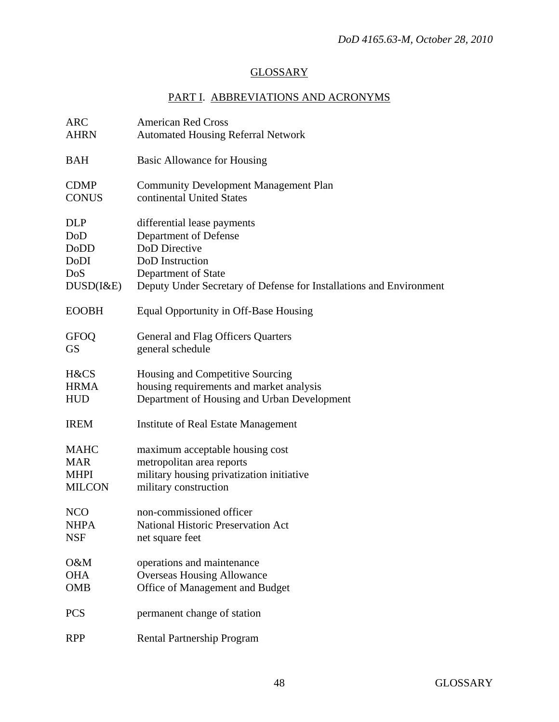# **GLOSSARY**

# PART I. ABBREVIATIONS AND ACRONYMS

| <b>ARC</b>    | <b>American Red Cross</b>                                           |
|---------------|---------------------------------------------------------------------|
| <b>AHRN</b>   | <b>Automated Housing Referral Network</b>                           |
| <b>BAH</b>    | <b>Basic Allowance for Housing</b>                                  |
| <b>CDMP</b>   | <b>Community Development Management Plan</b>                        |
| <b>CONUS</b>  | continental United States                                           |
| <b>DLP</b>    | differential lease payments                                         |
| DoD           | Department of Defense                                               |
| <b>DoDD</b>   | DoD Directive                                                       |
| DoDI          | DoD Instruction                                                     |
| DoS           | Department of State                                                 |
| DUSD(I&E)     | Deputy Under Secretary of Defense for Installations and Environment |
| <b>EOOBH</b>  | Equal Opportunity in Off-Base Housing                               |
| <b>GFOQ</b>   | General and Flag Officers Quarters                                  |
| <b>GS</b>     | general schedule                                                    |
| H&CS          | Housing and Competitive Sourcing                                    |
| <b>HRMA</b>   | housing requirements and market analysis                            |
| <b>HUD</b>    | Department of Housing and Urban Development                         |
| <b>IREM</b>   | Institute of Real Estate Management                                 |
| <b>MAHC</b>   | maximum acceptable housing cost                                     |
| <b>MAR</b>    | metropolitan area reports                                           |
| <b>MHPI</b>   | military housing privatization initiative                           |
| <b>MILCON</b> | military construction                                               |
| <b>NCO</b>    | non-commissioned officer                                            |
| <b>NHPA</b>   | <b>National Historic Preservation Act</b>                           |
| <b>NSF</b>    | net square feet                                                     |
| O&M           | operations and maintenance                                          |
| <b>OHA</b>    | <b>Overseas Housing Allowance</b>                                   |
| <b>OMB</b>    | Office of Management and Budget                                     |
| <b>PCS</b>    | permanent change of station                                         |
| <b>RPP</b>    | Rental Partnership Program                                          |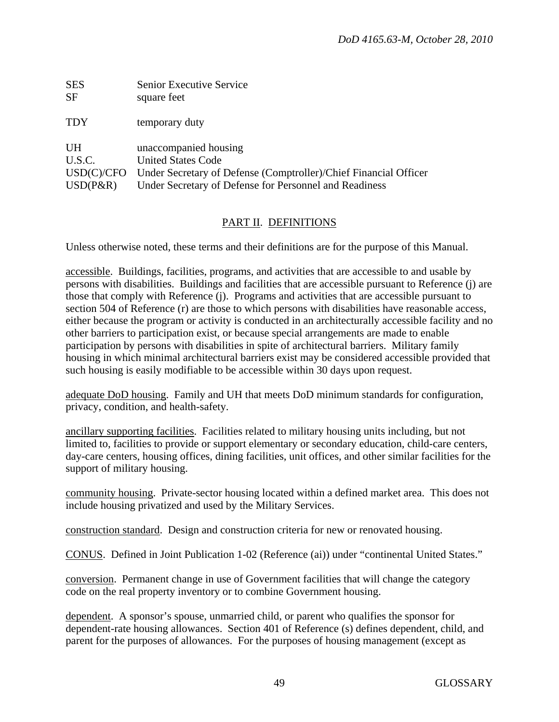| <b>SES</b>  | Senior Executive Service                                         |
|-------------|------------------------------------------------------------------|
| <b>SF</b>   | square feet                                                      |
| <b>TDY</b>  | temporary duty                                                   |
| <b>UH</b>   | unaccompanied housing                                            |
| U.S.C.      | <b>United States Code</b>                                        |
| USD(C)/CFO  | Under Secretary of Defense (Comptroller)/Chief Financial Officer |
| $USD(P\&R)$ | Under Secretary of Defense for Personnel and Readiness           |

#### PART II. DEFINITIONS

Unless otherwise noted, these terms and their definitions are for the purpose of this Manual.

accessible. Buildings, facilities, programs, and activities that are accessible to and usable by persons with disabilities. Buildings and facilities that are accessible pursuant to Reference (j) are those that comply with Reference (j). Programs and activities that are accessible pursuant to section 504 of Reference (r) are those to which persons with disabilities have reasonable access, either because the program or activity is conducted in an architecturally accessible facility and no other barriers to participation exist, or because special arrangements are made to enable participation by persons with disabilities in spite of architectural barriers. Military family housing in which minimal architectural barriers exist may be considered accessible provided that such housing is easily modifiable to be accessible within 30 days upon request.

adequate DoD housing. Family and UH that meets DoD minimum standards for configuration, privacy, condition, and health-safety.

ancillary supporting facilities. Facilities related to military housing units including, but not limited to, facilities to provide or support elementary or secondary education, child-care centers, day-care centers, housing offices, dining facilities, unit offices, and other similar facilities for the support of military housing.

community housing. Private-sector housing located within a defined market area. This does not include housing privatized and used by the Military Services.

construction standard. Design and construction criteria for new or renovated housing.

CONUS. Defined in Joint Publication 1-02 (Reference (ai)) under "continental United States."

conversion. Permanent change in use of Government facilities that will change the category code on the real property inventory or to combine Government housing.

dependent. A sponsor's spouse, unmarried child, or parent who qualifies the sponsor for dependent-rate housing allowances. Section 401 of Reference (s) defines dependent, child, and parent for the purposes of allowances. For the purposes of housing management (except as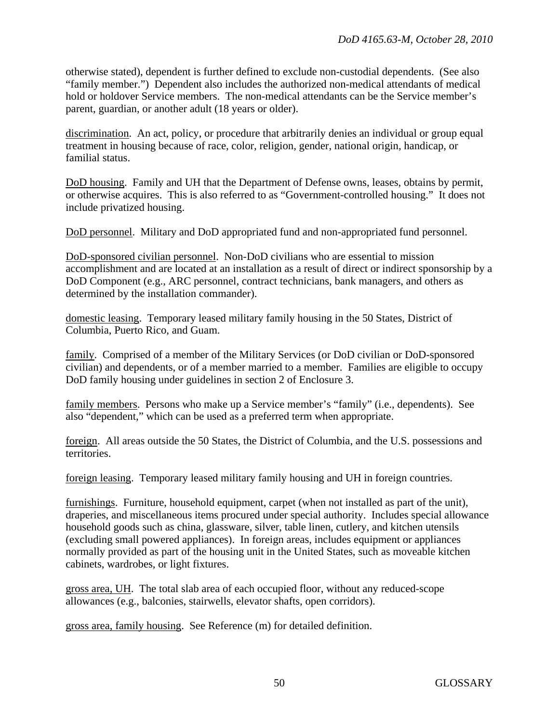otherwise stated), dependent is further defined to exclude non-custodial dependents. (See also "family member.") Dependent also includes the authorized non-medical attendants of medical hold or holdover Service members. The non-medical attendants can be the Service member's parent, guardian, or another adult (18 years or older).

discrimination. An act, policy, or procedure that arbitrarily denies an individual or group equal treatment in housing because of race, color, religion, gender, national origin, handicap, or familial status.

DoD housing. Family and UH that the Department of Defense owns, leases, obtains by permit, or otherwise acquires. This is also referred to as "Government-controlled housing." It does not include privatized housing.

DoD personnel. Military and DoD appropriated fund and non-appropriated fund personnel.

DoD-sponsored civilian personnel. Non-DoD civilians who are essential to mission accomplishment and are located at an installation as a result of direct or indirect sponsorship by a DoD Component (e.g., ARC personnel, contract technicians, bank managers, and others as determined by the installation commander).

domestic leasing. Temporary leased military family housing in the 50 States, District of Columbia, Puerto Rico, and Guam.

family. Comprised of a member of the Military Services (or DoD civilian or DoD-sponsored civilian) and dependents, or of a member married to a member. Families are eligible to occupy DoD family housing under guidelines in section 2 of Enclosure 3.

family members. Persons who make up a Service member's "family" (i.e., dependents). See also "dependent," which can be used as a preferred term when appropriate.

foreign. All areas outside the 50 States, the District of Columbia, and the U.S. possessions and territories.

foreign leasing. Temporary leased military family housing and UH in foreign countries.

furnishings. Furniture, household equipment, carpet (when not installed as part of the unit), draperies, and miscellaneous items procured under special authority. Includes special allowance household goods such as china, glassware, silver, table linen, cutlery, and kitchen utensils (excluding small powered appliances). In foreign areas, includes equipment or appliances normally provided as part of the housing unit in the United States, such as moveable kitchen cabinets, wardrobes, or light fixtures.

gross area, UH. The total slab area of each occupied floor, without any reduced-scope allowances (e.g., balconies, stairwells, elevator shafts, open corridors).

gross area, family housing. See Reference (m) for detailed definition.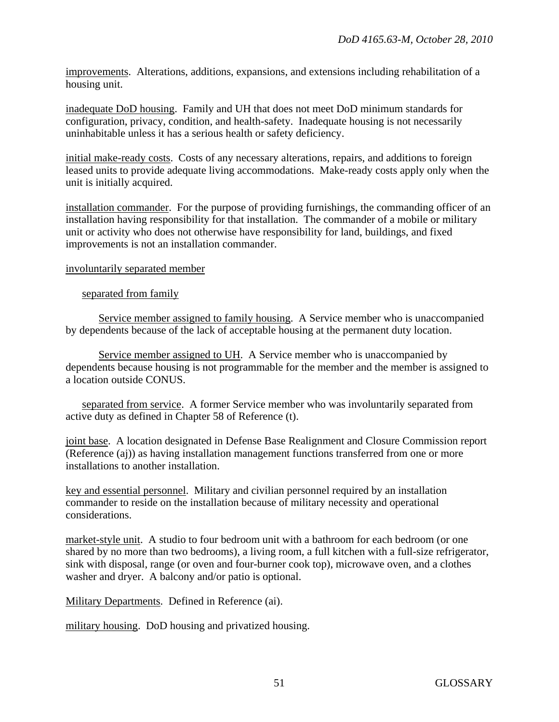improvements. Alterations, additions, expansions, and extensions including rehabilitation of a housing unit.

inadequate DoD housing. Family and UH that does not meet DoD minimum standards for configuration, privacy, condition, and health-safety. Inadequate housing is not necessarily uninhabitable unless it has a serious health or safety deficiency.

initial make-ready costs. Costs of any necessary alterations, repairs, and additions to foreign leased units to provide adequate living accommodations. Make-ready costs apply only when the unit is initially acquired.

installation commander. For the purpose of providing furnishings, the commanding officer of an installation having responsibility for that installation. The commander of a mobile or military unit or activity who does not otherwise have responsibility for land, buildings, and fixed improvements is not an installation commander.

#### involuntarily separated member

#### separated from family

 Service member assigned to family housing. A Service member who is unaccompanied by dependents because of the lack of acceptable housing at the permanent duty location.

 Service member assigned to UH. A Service member who is unaccompanied by dependents because housing is not programmable for the member and the member is assigned to a location outside CONUS.

 separated from service. A former Service member who was involuntarily separated from active duty as defined in Chapter 58 of Reference (t).

joint base. A location designated in Defense Base Realignment and Closure Commission report (Reference (aj)) as having installation management functions transferred from one or more installations to another installation.

key and essential personnel. Military and civilian personnel required by an installation commander to reside on the installation because of military necessity and operational considerations.

market-style unit. A studio to four bedroom unit with a bathroom for each bedroom (or one shared by no more than two bedrooms), a living room, a full kitchen with a full-size refrigerator, sink with disposal, range (or oven and four-burner cook top), microwave oven, and a clothes washer and dryer. A balcony and/or patio is optional.

Military Departments. Defined in Reference (ai).

military housing. DoD housing and privatized housing.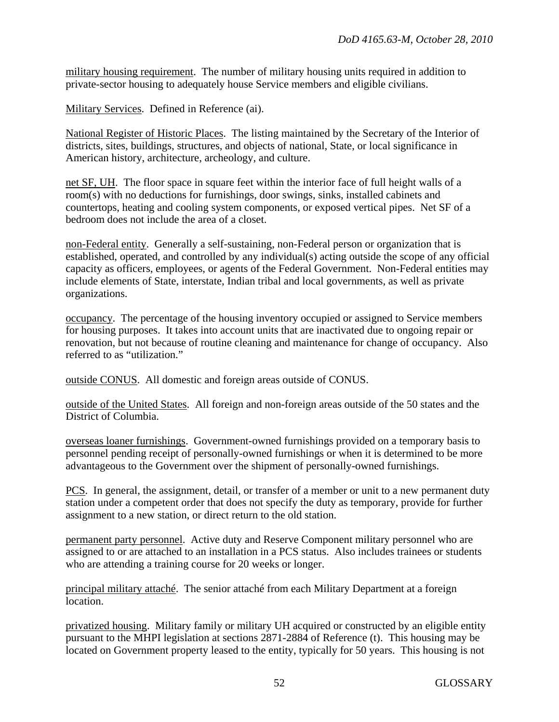military housing requirement. The number of military housing units required in addition to private-sector housing to adequately house Service members and eligible civilians.

Military Services. Defined in Reference (ai).

National Register of Historic Places. The listing maintained by the Secretary of the Interior of districts, sites, buildings, structures, and objects of national, State, or local significance in American history, architecture, archeology, and culture.

net SF, UH. The floor space in square feet within the interior face of full height walls of a room(s) with no deductions for furnishings, door swings, sinks, installed cabinets and countertops, heating and cooling system components, or exposed vertical pipes. Net SF of a bedroom does not include the area of a closet.

non-Federal entity. Generally a self-sustaining, non-Federal person or organization that is established, operated, and controlled by any individual(s) acting outside the scope of any official capacity as officers, employees, or agents of the Federal Government. Non-Federal entities may include elements of State, interstate, Indian tribal and local governments, as well as private organizations.

occupancy. The percentage of the housing inventory occupied or assigned to Service members for housing purposes. It takes into account units that are inactivated due to ongoing repair or renovation, but not because of routine cleaning and maintenance for change of occupancy. Also referred to as "utilization."

outside CONUS. All domestic and foreign areas outside of CONUS.

outside of the United States. All foreign and non-foreign areas outside of the 50 states and the District of Columbia.

overseas loaner furnishings. Government-owned furnishings provided on a temporary basis to personnel pending receipt of personally-owned furnishings or when it is determined to be more advantageous to the Government over the shipment of personally-owned furnishings.

PCS. In general, the assignment, detail, or transfer of a member or unit to a new permanent duty station under a competent order that does not specify the duty as temporary, provide for further assignment to a new station, or direct return to the old station.

permanent party personnel. Active duty and Reserve Component military personnel who are assigned to or are attached to an installation in a PCS status. Also includes trainees or students who are attending a training course for 20 weeks or longer.

principal military attaché. The senior attaché from each Military Department at a foreign location.

privatized housing. Military family or military UH acquired or constructed by an eligible entity pursuant to the MHPI legislation at sections 2871-2884 of Reference (t). This housing may be located on Government property leased to the entity, typically for 50 years. This housing is not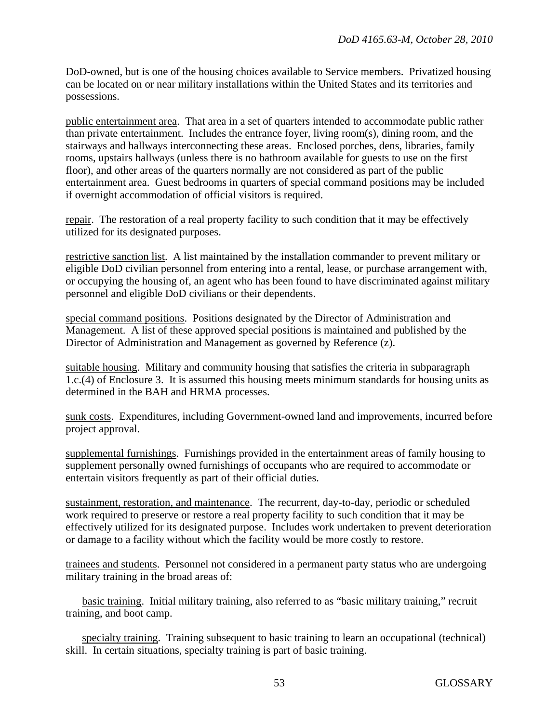DoD-owned, but is one of the housing choices available to Service members. Privatized housing can be located on or near military installations within the United States and its territories and possessions.

public entertainment area. That area in a set of quarters intended to accommodate public rather than private entertainment. Includes the entrance foyer, living room(s), dining room, and the stairways and hallways interconnecting these areas. Enclosed porches, dens, libraries, family rooms, upstairs hallways (unless there is no bathroom available for guests to use on the first floor), and other areas of the quarters normally are not considered as part of the public entertainment area. Guest bedrooms in quarters of special command positions may be included if overnight accommodation of official visitors is required.

repair. The restoration of a real property facility to such condition that it may be effectively utilized for its designated purposes.

restrictive sanction list. A list maintained by the installation commander to prevent military or eligible DoD civilian personnel from entering into a rental, lease, or purchase arrangement with, or occupying the housing of, an agent who has been found to have discriminated against military personnel and eligible DoD civilians or their dependents.

special command positions. Positions designated by the Director of Administration and Management. A list of these approved special positions is maintained and published by the Director of Administration and Management as governed by Reference (z).

suitable housing. Military and community housing that satisfies the criteria in subparagraph 1.c.(4) of Enclosure 3. It is assumed this housing meets minimum standards for housing units as determined in the BAH and HRMA processes.

sunk costs. Expenditures, including Government-owned land and improvements, incurred before project approval.

supplemental furnishings. Furnishings provided in the entertainment areas of family housing to supplement personally owned furnishings of occupants who are required to accommodate or entertain visitors frequently as part of their official duties.

sustainment, restoration, and maintenance. The recurrent, day-to-day, periodic or scheduled work required to preserve or restore a real property facility to such condition that it may be effectively utilized for its designated purpose. Includes work undertaken to prevent deterioration or damage to a facility without which the facility would be more costly to restore.

trainees and students. Personnel not considered in a permanent party status who are undergoing military training in the broad areas of:

 basic training. Initial military training, also referred to as "basic military training," recruit training, and boot camp.

 specialty training. Training subsequent to basic training to learn an occupational (technical) skill. In certain situations, specialty training is part of basic training.